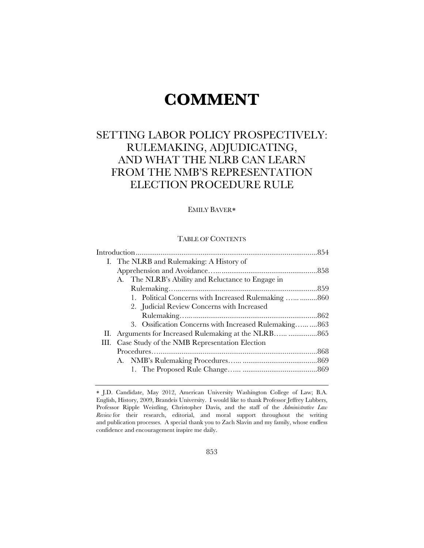# **COMMENT**

## SETTING LABOR POLICY PROSPECTIVELY: RULEMAKING, ADJUDICATING, AND WHAT THE NLRB CAN LEARN FROM THE NMB'S REPRESENTATION ELECTION PROCEDURE RULE

### EMILY BAVER

#### TABLE OF CONTENTS

| I. The NLRB and Rulemaking: A History of              |  |  |  |  |  |
|-------------------------------------------------------|--|--|--|--|--|
|                                                       |  |  |  |  |  |
| A. The NLRB's Ability and Reluctance to Engage in     |  |  |  |  |  |
|                                                       |  |  |  |  |  |
| 1. Political Concerns with Increased Rulemaking   860 |  |  |  |  |  |
| 2. Judicial Review Concerns with Increased            |  |  |  |  |  |
|                                                       |  |  |  |  |  |
| 3. Ossification Concerns with Increased Rulemaking863 |  |  |  |  |  |
|                                                       |  |  |  |  |  |
| III. Case Study of the NMB Representation Election    |  |  |  |  |  |
|                                                       |  |  |  |  |  |
|                                                       |  |  |  |  |  |
|                                                       |  |  |  |  |  |

J.D. Candidate, May 2012, American University Washington College of Law; B.A. English, History, 2009, Brandeis University. I would like to thank Professor Jeffrey Lubbers, Professor Ripple Weistling, Christopher Davis, and the staff of the *Administrative Law Review* for their research, editorial, and moral support throughout the writing and publication processes. A special thank you to Zach Slavin and my family, whose endless confidence and encouragement inspire me daily.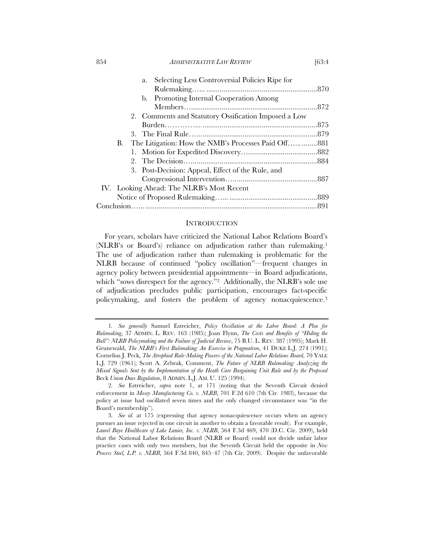| <i>ADMINISTRATIVE LAW REVIEW</i> | [63:4 |
|----------------------------------|-------|
|                                  |       |

|  | Selecting Less Controversial Policies Ripe for<br>a.   |  |
|--|--------------------------------------------------------|--|
|  |                                                        |  |
|  | b. Promoting Internal Cooperation Among                |  |
|  |                                                        |  |
|  | 2. Comments and Statutory Ossification Imposed a Low   |  |
|  |                                                        |  |
|  |                                                        |  |
|  | B. The Litigation: How the NMB's Processes Paid Off881 |  |
|  |                                                        |  |
|  |                                                        |  |
|  | 3. Post-Decision: Appeal, Effect of the Rule, and      |  |
|  |                                                        |  |
|  | IV. Looking Ahead: The NLRB's Most Recent              |  |
|  |                                                        |  |
|  |                                                        |  |
|  |                                                        |  |

#### **INTRODUCTION**

For years, scholars have criticized the National Labor Relations Board's (NLRB's or Board's) reliance on adjudication rather than rulemaking.1 The use of adjudication rather than rulemaking is problematic for the NLRB because of continued "policy oscillation"—frequent changes in agency policy between presidential appointments—in Board adjudications, which "sows disrespect for the agency."<sup>2</sup> Additionally, the NLRB's sole use of adjudication precludes public participation, encourages fact-specific policymaking, and fosters the problem of agency nonacquiescence.3

<sup>1</sup>*. See generally* Samuel Estreicher, *Policy Oscillation at the Labor Board: A Plea for Rulemaking*, 37 ADMIN. L. REV. 163 (1985); Joan Flynn, *The Costs and Benefits of "Hiding the Ball": NLRB Policymaking and the Failure of Judicial Review*, 75 B.U. L. REV. 387 (1995); Mark H. Grunewald, *The NLRB's First Rulemaking: An Exercise in Pragmatism*, 41 DUKE L.J. 274 (1991); Cornelius J. Peck, *The Atrophied Rule-Making Powers of the National Labor Relations Board*, 70 YALE L.J. 729 (1961); Scott A. Zebrak, Comment, *The Future of NLRB Rulemaking: Analyzing the Mixed Signals Sent by the Implementation of the Heath Care Bargaining Unit Rule and by the Proposed*  Beck *Union Dues Regulation*, 8 ADMIN. L.J. AM. U. 125 (1994).

<sup>2</sup>*. See* Estreicher, *supra* note 1, at 171 (noting that the Seventh Circuit denied enforcement in *Mosey Manufacturing Co. v. NLRB*, 701 F.2d 610 (7th Cir. 1983), because the policy at issue had oscillated seven times and the only changed circumstance was "in the Board's membership").

<sup>3</sup>*. See id.* at 175 (expressing that agency nonacquiescence occurs when an agency pursues an issue rejected in one circuit in another to obtain a favorable result). For example, *Laurel Baye Healthcare of Lake Lanier, Inc. v. NLRB*, 564 F.3d 469, 470 (D.C. Cir. 2009), held that the National Labor Relations Board (NLRB or Board) could not decide unfair labor practice cases with only two members, but the Seventh Circuit held the opposite in *New Process Steel, L.P. v. NLRB*, 564 F.3d 840, 845–47 (7th Cir. 2009). Despite the unfavorable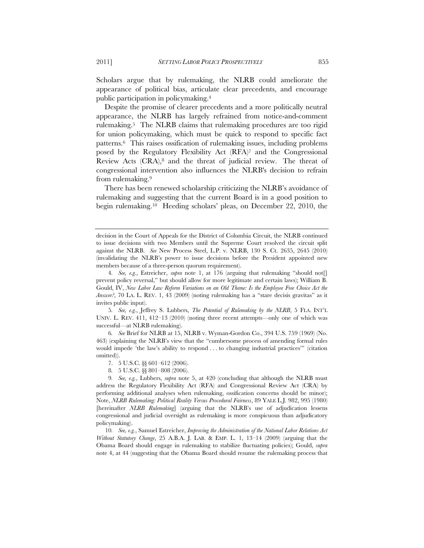Scholars argue that by rulemaking, the NLRB could ameliorate the appearance of political bias, articulate clear precedents, and encourage public participation in policymaking.4

Despite the promise of clearer precedents and a more politically neutral appearance, the NLRB has largely refrained from notice-and-comment rulemaking.5 The NLRB claims that rulemaking procedures are too rigid for union policymaking, which must be quick to respond to specific fact patterns.6 This raises ossification of rulemaking issues, including problems posed by the Regulatory Flexibility Act (RFA)7 and the Congressional Review Acts  $(CRA)^8$  and the threat of judicial review. The threat of congressional intervention also influences the NLRB's decision to refrain from rulemaking.9

There has been renewed scholarship criticizing the NLRB's avoidance of rulemaking and suggesting that the current Board is in a good position to begin rulemaking.10 Heeding scholars' pleas, on December 22, 2010, the

5*. See, e.g.*, Jeffrey S. Lubbers, *The Potential of Rulemaking by the NLRB*, 5 FLA. INT'L UNIV. L. REV. 411, 412–13 (2010) (noting three recent attempts—only one of which was successful—at NLRB rulemaking).

6*. See* Brief for NLRB at 15, NLRB v. Wyman-Gordon Co., 394 U.S. 759 (1969) (No. 463) (explaining the NLRB's view that the "cumbersome process of amending formal rules would impede 'the law's ability to respond . . . to changing industrial practices'" (citation omitted)).

- 7. 5 U.S.C. §§ 601–612 (2006).
- 8*.* 5 U.S.C. §§ 801–808 (2006).

9*. See, e.g.*, Lubbers, *supra* note 5, at 420 (concluding that although the NLRB must address the Regulatory Flexibility Act (RFA) and Congressional Review Act (CRA) by performing additional analyses when rulemaking, ossification concerns should be minor); Note, *NLRB Rulemaking: Political Reality Versus Procedural Fairness*, 89 YALE L.J. 982, 995 (1980) [hereinafter *NLRB Rulemaking*] (arguing that the NLRB's use of adjudication lessens congressional and judicial oversight as rulemaking is more conspicuous than adjudicatory policymaking).

10*. See, e.g.*, Samuel Estreicher, *Improving the Administration of the National Labor Relations Act Without Statutory Change*, 25 A.B.A. J. LAB. & EMP. L. 1, 13–14 (2009) (arguing that the Obama Board should engage in rulemaking to stabilize fluctuating policies); Gould, *supra*  note 4, at 44 (suggesting that the Obama Board should resume the rulemaking process that

decision in the Court of Appeals for the District of Columbia Circuit, the NLRB continued to issue decisions with two Members until the Supreme Court resolved the circuit split against the NLRB. *See* New Process Steel, L.P. v. NLRB, 130 S. Ct. 2635, 2645 (2010) (invalidating the NLRB's power to issue decisions before the President appointed new members because of a three-person quorum requirement).

<sup>4</sup>*. See, e.g.*, Estreicher, *supra* note 1, at 176 (arguing that rulemaking "should not[] prevent policy reversal," but should allow for more legitimate and certain laws); William B. Gould, IV, *New Labor Law Reform Variations on an Old Theme: Is the Employee Free Choice Act the Answer?*, 70 LA. L. REV. 1, 43 (2009) (noting rulemaking has a "stare decisis gravitas" as it invites public input).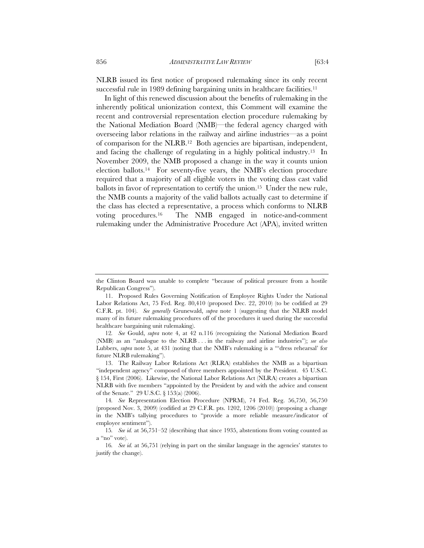NLRB issued its first notice of proposed rulemaking since its only recent successful rule in 1989 defining bargaining units in healthcare facilities.<sup>11</sup>

In light of this renewed discussion about the benefits of rulemaking in the inherently political unionization context, this Comment will examine the recent and controversial representation election procedure rulemaking by the National Mediation Board (NMB)—the federal agency charged with overseeing labor relations in the railway and airline industries—as a point of comparison for the NLRB.12 Both agencies are bipartisan, independent, and facing the challenge of regulating in a highly political industry.13 In November 2009, the NMB proposed a change in the way it counts union election ballots.14 For seventy-five years, the NMB's election procedure required that a majority of all eligible voters in the voting class cast valid ballots in favor of representation to certify the union.15 Under the new rule, the NMB counts a majority of the valid ballots actually cast to determine if the class has elected a representative, a process which conforms to NLRB voting procedures.16 The NMB engaged in notice-and-comment rulemaking under the Administrative Procedure Act (APA), invited written

the Clinton Board was unable to complete "because of political pressure from a hostile Republican Congress").

<sup>11.</sup> Proposed Rules Governing Notification of Employee Rights Under the National Labor Relations Act, 75 Fed. Reg. 80,410 (proposed Dec. 22, 2010) (to be codified at 29 C.F.R. pt. 104). *See generally* Grunewald, *supra* note 1 (suggesting that the NLRB model many of its future rulemaking procedures off of the procedures it used during the successful healthcare bargaining unit rulemaking).

<sup>12</sup>*. See* Gould, *supra* note 4, at 42 n.116 (recognizing the National Mediation Board (NMB) as an "analogue to the NLRB . . . in the railway and airline industries"); *see also* Lubbers, *supra* note 5, at 431 (noting that the NMB's rulemaking is a "dress rehearsal' for future NLRB rulemaking").

<sup>13.</sup> The Railway Labor Relations Act (RLRA) establishes the NMB as a bipartisan "independent agency" composed of three members appointed by the President. 45 U.S.C. § 154, First (2006). Likewise, the National Labor Relations Act (NLRA) creates a bipartisan NLRB with five members "appointed by the President by and with the advice and consent of the Senate." 29 U.S.C. § 153(a) (2006).

<sup>14</sup>*. See* Representation Election Procedure (NPRM), 74 Fed. Reg. 56,750, 56,750 (proposed Nov. 3, 2009) (codified at 29 C.F.R. pts. 1202, 1206 (2010)) (proposing a change in the NMB's tallying procedures to "provide a more reliable measure/indicator of employee sentiment").

<sup>15</sup>*. See id.* at 56,751–52 (describing that since 1935, abstentions from voting counted as a "no" vote).

<sup>16</sup>*. See id.* at 56,751 (relying in part on the similar language in the agencies' statutes to justify the change).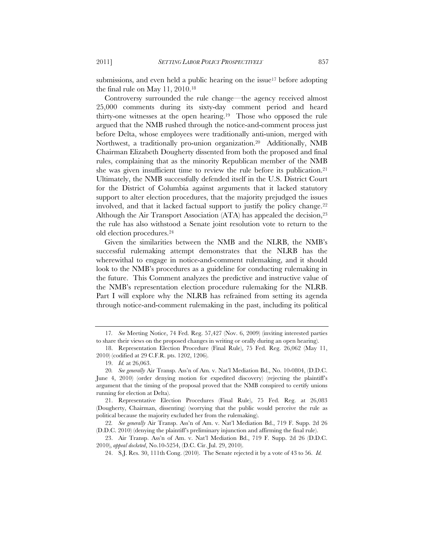submissions, and even held a public hearing on the issue<sup>17</sup> before adopting the final rule on May 11, 2010.18

Controversy surrounded the rule change—the agency received almost 25,000 comments during its sixty-day comment period and heard thirty-one witnesses at the open hearing.19 Those who opposed the rule argued that the NMB rushed through the notice-and-comment process just before Delta, whose employees were traditionally anti-union, merged with Northwest, a traditionally pro-union organization.20 Additionally, NMB Chairman Elizabeth Dougherty dissented from both the proposed and final rules, complaining that as the minority Republican member of the NMB she was given insufficient time to review the rule before its publication.<sup>21</sup> Ultimately, the NMB successfully defended itself in the U.S. District Court for the District of Columbia against arguments that it lacked statutory support to alter election procedures, that the majority prejudged the issues involved, and that it lacked factual support to justify the policy change.22 Although the Air Transport Association (ATA) has appealed the decision,<sup>23</sup> the rule has also withstood a Senate joint resolution vote to return to the old election procedures.24

Given the similarities between the NMB and the NLRB, the NMB's successful rulemaking attempt demonstrates that the NLRB has the wherewithal to engage in notice-and-comment rulemaking, and it should look to the NMB's procedures as a guideline for conducting rulemaking in the future. This Comment analyzes the predictive and instructive value of the NMB's representation election procedure rulemaking for the NLRB. Part I will explore why the NLRB has refrained from setting its agenda through notice-and-comment rulemaking in the past, including its political

<sup>17</sup>*. See* Meeting Notice, 74 Fed. Reg. 57,427 (Nov. 6, 2009) (inviting interested parties to share their views on the proposed changes in writing or orally during an open hearing).

<sup>18.</sup> Representation Election Procedure (Final Rule), 75 Fed. Reg. 26,062 (May 11, 2010) (codified at 29 C.F.R. pts. 1202, 1206).

<sup>19.</sup> *Id.* at 26,063.

<sup>20</sup>*. See generally* Air Transp. Ass'n of Am. v. Nat'l Mediation Bd., No. 10-0804, (D.D.C. June 4, 2010) (order denying motion for expedited discovery) (rejecting the plaintiff's argument that the timing of the proposal proved that the NMB conspired to certify unions running for election at Delta).

<sup>21.</sup> Representative Election Procedures (Final Rule), 75 Fed. Reg. at 26,083 (Dougherty, Chairman, dissenting) (worrying that the public would perceive the rule as political because the majority excluded her from the rulemaking).

<sup>22</sup>*. See generally* Air Transp. Ass'n of Am. v. Nat'l Mediation Bd., 719 F. Supp. 2d 26 (D.D.C. 2010) (denying the plaintiff's preliminary injunction and affirming the final rule).

<sup>23.</sup> Air Transp. Ass'n of Am. v. Nat'l Mediation Bd., 719 F. Supp. 2d 26 (D.D.C. 2010), *appeal docketed*, No.10-5254, (D.C. Cir. Jul. 29, 2010).

<sup>24.</sup> S.J. Res. 30, 111th Cong. (2010). The Senate rejected it by a vote of 43 to 56. *Id.*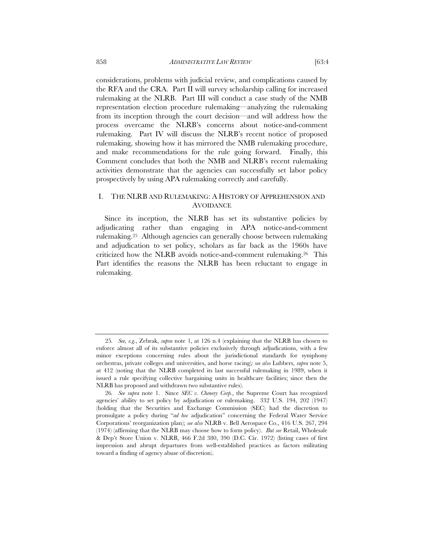considerations, problems with judicial review, and complications caused by the RFA and the CRA. Part II will survey scholarship calling for increased rulemaking at the NLRB. Part III will conduct a case study of the NMB representation election procedure rulemaking—analyzing the rulemaking from its inception through the court decision—and will address how the process overcame the NLRB's concerns about notice-and-comment rulemaking. Part IV will discuss the NLRB's recent notice of proposed rulemaking, showing how it has mirrored the NMB rulemaking procedure, and make recommendations for the rule going forward. Finally, this Comment concludes that both the NMB and NLRB's recent rulemaking activities demonstrate that the agencies can successfully set labor policy prospectively by using APA rulemaking correctly and carefully.

#### I. THE NLRB AND RULEMAKING: A HISTORY OF APPREHENSION AND **AVOIDANCE**

Since its inception, the NLRB has set its substantive policies by adjudicating rather than engaging in APA notice-and-comment rulemaking.25 Although agencies can generally choose between rulemaking and adjudication to set policy, scholars as far back as the 1960s have criticized how the NLRB avoids notice-and-comment rulemaking.26 This Part identifies the reasons the NLRB has been reluctant to engage in rulemaking.

<sup>25</sup>*. See, e.g.*, Zebrak, *supra* note 1, at 126 n.4 (explaining that the NLRB has chosen to enforce almost all of its substantive policies exclusively through adjudications, with a few minor exceptions concerning rules about the jurisdictional standards for symphony orchestras, private colleges and universities, and horse racing)*; see also* Lubbers, *supra* note 5, at 412 (noting that the NLRB completed its last successful rulemaking in 1989, when it issued a rule specifying collective bargaining units in healthcare facilities; since then the NLRB has proposed and withdrawn two substantive rules).

<sup>26</sup>*. See supra* note 1. Since *SEC v. Chenery Corp.*, the Supreme Court has recognized agencies' ability to set policy by adjudication or rulemaking. 332 U.S. 194, 202 (1947) (holding that the Securities and Exchange Commission (SEC) had the discretion to promulgate a policy during "*ad hoc* adjudication" concerning the Federal Water Service Corporations' reorganization plan); *see also* NLRB v. Bell Aerospace Co., 416 U.S. 267, 294 (1974) (affirming that the NLRB may choose how to form policy). *But see* Retail, Wholesale & Dep't Store Union v. NLRB, 466 F.2d 380, 390 (D.C. Cir. 1972) (listing cases of first impression and abrupt departures from well-established practices as factors militating toward a finding of agency abuse of discretion).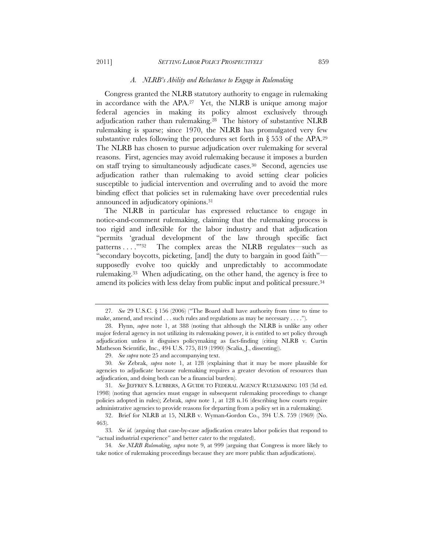#### *A. NLRB's Ability and Reluctance to Engage in Rulemaking*

Congress granted the NLRB statutory authority to engage in rulemaking in accordance with the APA.27 Yet, the NLRB is unique among major federal agencies in making its policy almost exclusively through adjudication rather than rulemaking.28 The history of substantive NLRB rulemaking is sparse; since 1970, the NLRB has promulgated very few substantive rules following the procedures set forth in  $\S 553$  of the APA.<sup>29</sup> The NLRB has chosen to pursue adjudication over rulemaking for several reasons. First, agencies may avoid rulemaking because it imposes a burden on staff trying to simultaneously adjudicate cases.<sup>30</sup> Second, agencies use adjudication rather than rulemaking to avoid setting clear policies susceptible to judicial intervention and overruling and to avoid the more binding effect that policies set in rulemaking have over precedential rules announced in adjudicatory opinions.31

The NLRB in particular has expressed reluctance to engage in notice-and-comment rulemaking, claiming that the rulemaking process is too rigid and inflexible for the labor industry and that adjudication "permits 'gradual development of the law through specific fact patterns . . . . . . . . . The complex areas the NLRB regulates—such as "secondary boycotts, picketing, [and] the duty to bargain in good faith" supposedly evolve too quickly and unpredictably to accommodate rulemaking.33 When adjudicating, on the other hand, the agency is free to amend its policies with less delay from public input and political pressure.34

<sup>27</sup>*. See* 29 U.S.C. § 156 (2006) ("The Board shall have authority from time to time to make, amend, and rescind . . . such rules and regulations as may be necessary . . . .").

<sup>28.</sup> Flynn, *supra* note 1, at 388 (noting that although the NLRB is unlike any other major federal agency in not utilizing its rulemaking power, it is entitled to set policy through adjudication unless it disguises policymaking as fact-finding (citing NLRB v. Curtin Matheson Scientific, Inc., 494 U.S. 775, 819 (1990) (Scalia, J., dissenting)).

<sup>29.</sup> *See supra* note 25 and accompanying text.

<sup>30</sup>*. See* Zebrak, *supra* note 1, at 128 (explaining that it may be more plausible for agencies to adjudicate because rulemaking requires a greater devotion of resources than adjudication, and doing both can be a financial burden).

<sup>31</sup>*. See* JEFFREY S. LUBBERS, A GUIDE TO FEDERAL AGENCY RULEMAKING 103 (3d ed. 1998) (noting that agencies must engage in subsequent rulemaking proceedings to change policies adopted in rules); Zebrak, *supra* note 1, at 128 n.16 (describing how courts require administrative agencies to provide reasons for departing from a policy set in a rulemaking).

<sup>32.</sup> Brief for NLRB at 15, NLRB v. Wyman-Gordon Co., 394 U.S. 759 (1969) (No. 463).

<sup>33</sup>*. See id.* (arguing that case-by-case adjudication creates labor policies that respond to "actual industrial experience" and better cater to the regulated).

<sup>34</sup>*. See NLRB Rulemaking*, *supra* note 9, at 999 (arguing that Congress is more likely to take notice of rulemaking proceedings because they are more public than adjudications).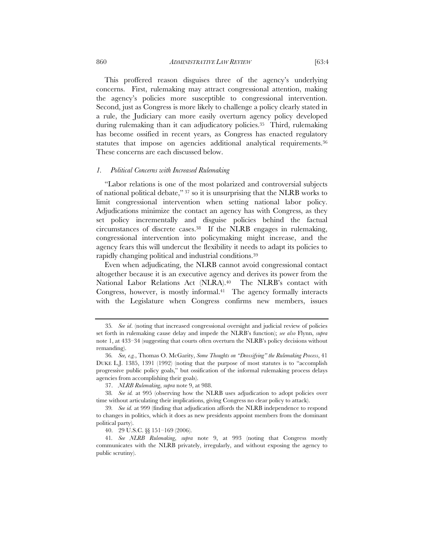860 *ADMINISTRATIVE LAW REVIEW* [63:4

This proffered reason disguises three of the agency's underlying concerns. First, rulemaking may attract congressional attention, making

the agency's policies more susceptible to congressional intervention. Second, just as Congress is more likely to challenge a policy clearly stated in a rule, the Judiciary can more easily overturn agency policy developed during rulemaking than it can adjudicatory policies.35 Third, rulemaking has become ossified in recent years, as Congress has enacted regulatory statutes that impose on agencies additional analytical requirements.<sup>36</sup> These concerns are each discussed below.

#### *1. Political Concerns with Increased Rulemaking*

"Labor relations is one of the most polarized and controversial subjects of national political debate," 37 so it is unsurprising that the NLRB works to limit congressional intervention when setting national labor policy. Adjudications minimize the contact an agency has with Congress, as they set policy incrementally and disguise policies behind the factual circumstances of discrete cases.38 If the NLRB engages in rulemaking, congressional intervention into policymaking might increase, and the agency fears this will undercut the flexibility it needs to adapt its policies to rapidly changing political and industrial conditions.39

Even when adjudicating, the NLRB cannot avoid congressional contact altogether because it is an executive agency and derives its power from the National Labor Relations Act (NLRA).40 The NLRB's contact with Congress, however, is mostly informal.<sup>41</sup> The agency formally interacts with the Legislature when Congress confirms new members, issues

<sup>35</sup>*. See id*. (noting that increased congressional oversight and judicial review of policies set forth in rulemaking cause delay and impede the NLRB's function); *see also* Flynn, *supra* note 1, at 433–34 (suggesting that courts often overturn the NLRB's policy decisions without remanding).

<sup>36</sup>*. See, e.g.*, Thomas O. McGarity, *Some Thoughts on "Deossifying" the Rulemaking Process*, 41 DUKE L.J. 1385, 1391 (1992) (noting that the purpose of most statutes is to "accomplish progressive public policy goals," but ossification of the informal rulemaking process delays agencies from accomplishing their goals).

<sup>37.</sup> *NLRB Rulemaking*, *supra* note 9, at 988.

<sup>38</sup>*. See id.* at 995 (observing how the NLRB uses adjudication to adopt policies over time without articulating their implications, giving Congress no clear policy to attack).

<sup>39</sup>*. See id.* at 999 (finding that adjudication affords the NLRB independence to respond to changes in politics, which it does as new presidents appoint members from the dominant political party).

<sup>40. 29</sup> U.S.C. §§ 151–169 (2006).

<sup>41</sup>*. See NLRB Rulemaking*, *supra* note 9, at 993 (noting that Congress mostly communicates with the NLRB privately, irregularly, and without exposing the agency to public scrutiny).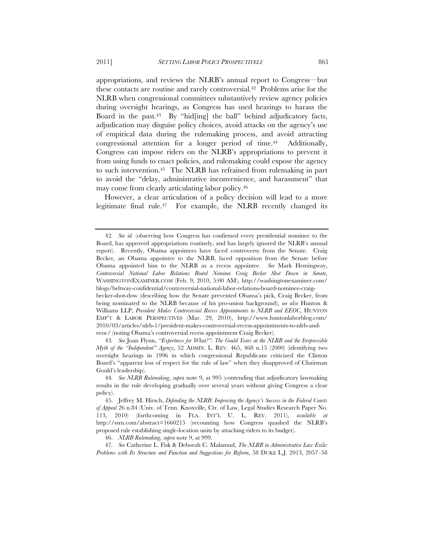NLRB when congressional committees substantively review agency policies during oversight hearings, as Congress has used hearings to harass the Board in the past.43 By "hid[ing] the ball" behind adjudicatory facts, adjudication may disguise policy choices, avoid attacks on the agency's use of empirical data during the rulemaking process, and avoid attracting congressional attention for a longer period of time.<sup>44</sup> Additionally, Congress can impose riders on the NLRB's appropriations to prevent it from using funds to enact policies, and rulemaking could expose the agency to such intervention.45 The NLRB has refrained from rulemaking in part to avoid the "delay, administrative inconvenience, and harassment" that may come from clearly articulating labor policy.46

However, a clear articulation of a policy decision will lead to a more legitimate final rule.47 For example, the NLRB recently changed its

46. *NLRB Rulemaking*, *supra* note 9, at 999.

47*. See* Catherine L. Fisk & Deborah C. Malamud, *The NLRB in Administrative Law Exile: Problems with Its Structure and Function and Suggestions for Reform*, 58 DUKE L.J. 2013, 2057–58

<sup>42</sup>*. See id.* (observing how Congress has confirmed every presidential nominee to the Board, has approved appropriations routinely, and has largely ignored the NLRB's annual report). Recently, Obama appointees have faced controversy from the Senate. Craig Becker, an Obama appointee to the NLRB, faced opposition from the Senate before Obama appointed him to the NLRB as a recess appointee. *See* Mark Hemingway, *Controversial National Labor Relations Board Nominee Craig Becker Shot Down in Senate*, WASHINGTONEXAMINER.COM (Feb. 9, 2010, 5:00 AM), http://washingtonexaminer.com/ blogs/beltway-confidential/controversial-national-labor-relations-board-nominee-craig-

becker-shot-dow (describing how the Senate prevented Obama's pick, Craig Becker, from being nominated to the NLRB because of his pro-union background); *see also* Hunton & Williams LLP, *President Makes Controversial Recess Appointments to NLRB and EEOC*, HUNTON EMP'T & LABOR PERSPECTIVES (Mar. 29, 2010), http://www.huntonlaborblog.com/ 2010/03/articles/nlrb-1/president-makes-controversial-recess-appointments-to-nlrb-andeeoc/ (noting Obama's controversial recess appointment Craig Becker).

<sup>43</sup>*. See* Joan Flynn, *"Expertness for What?": The Gould Years at the NLRB and the Irrepressible Myth of the "Independent" Agency*, 52 ADMIN. L. REV. 465, 468 n.15 (2000) (identifying two oversight hearings in 1996 in which congressional Republicans criticized the Clinton Board's "apparent loss of respect for the rule of law" when they disapproved of Chairman Gould's leadership).

<sup>44</sup>*. See NLRB Rulemaking*, *supra* note 9, at 995 (contending that adjudicatory lawmaking results in the rule developing gradually over several years without giving Congress a clear policy).

<sup>45.</sup> Jeffrey M. Hirsch, *Defending the NLRB: Improving the Agency's Success in the Federal Courts of Appeal* 26 n.84 (Univ. of Tenn. Knoxville, Ctr. of Law, Legal Studies Research Paper No. 113, 2010) (forthcoming in FLA. INT'L U. L. REV. 2011), *available at* http://ssrn.com/abstract=1660215 (recounting how Congress quashed the NLRB's proposed rule establishing single-location units by attaching riders to its budget).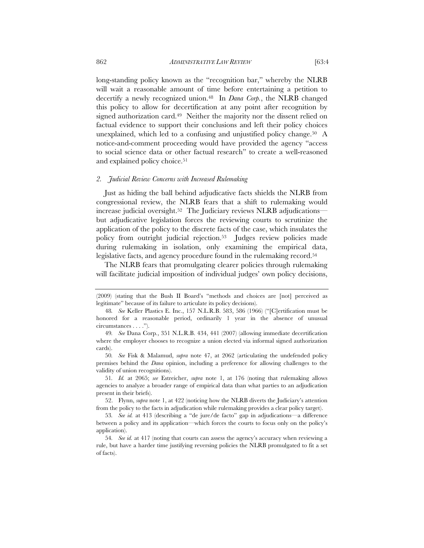long-standing policy known as the "recognition bar," whereby the NLRB will wait a reasonable amount of time before entertaining a petition to decertify a newly recognized union.48 In *Dana Corp.*, the NLRB changed this policy to allow for decertification at any point after recognition by signed authorization card.<sup>49</sup> Neither the majority nor the dissent relied on

factual evidence to support their conclusions and left their policy choices unexplained, which led to a confusing and unjustified policy change.<sup>50</sup> A notice-and-comment proceeding would have provided the agency "access to social science data or other factual research" to create a well-reasoned and explained policy choice.<sup>51</sup>

#### *2. Judicial Review Concerns with Increased Rulemaking*

Just as hiding the ball behind adjudicative facts shields the NLRB from congressional review, the NLRB fears that a shift to rulemaking would increase judicial oversight.<sup>52</sup> The Judiciary reviews NLRB adjudicationsbut adjudicative legislation forces the reviewing courts to scrutinize the application of the policy to the discrete facts of the case, which insulates the policy from outright judicial rejection.53 Judges review policies made during rulemaking in isolation, only examining the empirical data, legislative facts, and agency procedure found in the rulemaking record.54

The NLRB fears that promulgating clearer policies through rulemaking will facilitate judicial imposition of individual judges' own policy decisions,

<sup>(2009) (</sup>stating that the Bush II Board's "methods and choices are [not] perceived as legitimate" because of its failure to articulate its policy decisions).

<sup>48</sup>*. See* Keller Plastics E. Inc., 157 N.L.R.B. 583, 586 (1966) ("[C]ertification must be honored for a reasonable period, ordinarily 1 year in the absence of unusual circumstances . . . .").

<sup>49</sup>*. See* Dana Corp*.*, 351 N.L.R.B. 434, 441 (2007) (allowing immediate decertification where the employer chooses to recognize a union elected via informal signed authorization cards).

<sup>50</sup>*. See* Fisk & Malamud, *supra* note 47, at 2062 (articulating the undefended policy premises behind the *Dana* opinion, including a preference for allowing challenges to the validity of union recognitions).

<sup>51</sup>*. Id.* at 2065; *see* Estreicher, *supra* note 1, at 176 (noting that rulemaking allows agencies to analyze a broader range of empirical data than what parties to an adjudication present in their briefs).

<sup>52.</sup> Flynn, *supra* note 1, at 422 (noticing how the NLRB diverts the Judiciary's attention from the policy to the facts in adjudication while rulemaking provides a clear policy target).

<sup>53</sup>*. See id.* at 413 (describing a "de jure/de facto" gap in adjudications—a difference between a policy and its application—which forces the courts to focus only on the policy's application).

<sup>54</sup>*. See id.* at 417 (noting that courts can assess the agency's accuracy when reviewing a rule, but have a harder time justifying reversing policies the NLRB promulgated to fit a set of facts).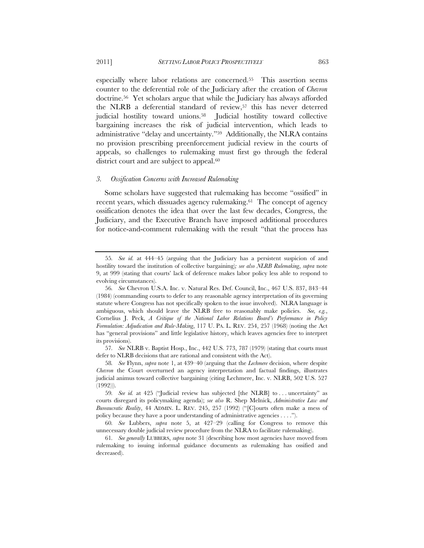especially where labor relations are concerned.55 This assertion seems counter to the deferential role of the Judiciary after the creation of *Chevron* doctrine.56 Yet scholars argue that while the Judiciary has always afforded the NLRB a deferential standard of review,57 this has never deterred judicial hostility toward unions.58 Judicial hostility toward collective bargaining increases the risk of judicial intervention, which leads to administrative "delay and uncertainty."59 Additionally, the NLRA contains no provision prescribing preenforcement judicial review in the courts of appeals, so challenges to rulemaking must first go through the federal district court and are subject to appeal.<sup>60</sup>

#### *3. Ossification Concerns with Increased Rulemaking*

Some scholars have suggested that rulemaking has become "ossified" in recent years, which dissuades agency rulemaking.<sup>61</sup> The concept of agency ossification denotes the idea that over the last few decades, Congress, the Judiciary, and the Executive Branch have imposed additional procedures for notice-and-comment rulemaking with the result "that the process has

57*. See* NLRB v. Baptist Hosp., Inc., 442 U.S. 773, 787 (1979) (stating that courts must defer to NLRB decisions that are rational and consistent with the Act).

<sup>55</sup>*. See id.* at 444–45 (arguing that the Judiciary has a persistent suspicion of and hostility toward the institution of collective bargaining)*; see also NLRB Rulemaking*, *supra* note 9, at 999 (stating that courts' lack of deference makes labor policy less able to respond to evolving circumstances).

<sup>56</sup>*. See* Chevron U.S.A. Inc. v. Natural Res. Def. Council, Inc., 467 U.S. 837, 843–44 (1984) (commanding courts to defer to any reasonable agency interpretation of its governing statute where Congress has not specifically spoken to the issue involved). NLRA language is ambiguous, which should leave the NLRB free to reasonably make policies. *See, e.g.*, Cornelius J. Peck, *A Critique of the National Labor Relations Board's Performance in Policy Formulation: Adjudication and Rule-Making*, 117 U. PA. L. REV. 254, 257 (1968) (noting the Act has "general provisions" and little legislative history, which leaves agencies free to interpret its provisions).

<sup>58</sup>*. See* Flynn, *supra* note 1, at 439–40 (arguing that the *Lechmere* decision, where despite *Chevron* the Court overturned an agency interpretation and factual findings, illustrates judicial animus toward collective bargaining (citing Lechmere, Inc. v. NLRB, 502 U.S. 527 (1992))).

<sup>59</sup>*. See id.* at 425 ("Judicial review has subjected [the NLRB] to . . . uncertainty" as courts disregard its policymaking agenda); *see also* R. Shep Melnick, *Administrative Law and Bureaucratic Reality*, 44 ADMIN. L. REV. 245, 257 (1992) ("[C]ourts often make a mess of policy because they have a poor understanding of administrative agencies . . . .").

<sup>60</sup>*. See* Lubbers, *supra* note 5, at 427–29 (calling for Congress to remove this unnecessary double judicial review procedure from the NLRA to facilitate rulemaking).

<sup>61</sup>*. See generally* LUBBERS, *supra* note 31 (describing how most agencies have moved from rulemaking to issuing informal guidance documents as rulemaking has ossified and decreased).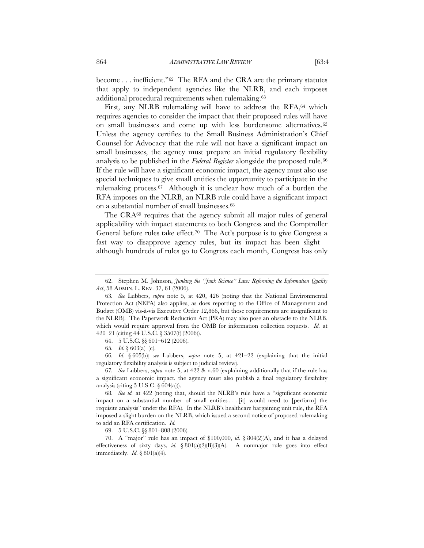become . . . inefficient."<sup>62</sup> The RFA and the CRA are the primary statutes that apply to independent agencies like the NLRB, and each imposes additional procedural requirements when rulemaking.63

First, any NLRB rulemaking will have to address the RFA,  $64$  which requires agencies to consider the impact that their proposed rules will have on small businesses and come up with less burdensome alternatives.65 Unless the agency certifies to the Small Business Administration's Chief Counsel for Advocacy that the rule will not have a significant impact on small businesses, the agency must prepare an initial regulatory flexibility analysis to be published in the *Federal Register* alongside the proposed rule.<sup>66</sup> If the rule will have a significant economic impact, the agency must also use special techniques to give small entities the opportunity to participate in the rulemaking process.67 Although it is unclear how much of a burden the RFA imposes on the NLRB, an NLRB rule could have a significant impact on a substantial number of small businesses.68

The CRA<sup>69</sup> requires that the agency submit all major rules of general applicability with impact statements to both Congress and the Comptroller General before rules take effect.<sup>70</sup> The Act's purpose is to give Congress a fast way to disapprove agency rules, but its impact has been slight although hundreds of rules go to Congress each month, Congress has only

64. 5 U.S.C. §§ 601–612 (2006).

66*. Id*. § 605(b); *see* Lubbers, *supra* note 5, at 421–22 (explaining that the initial regulatory flexibility analysis is subject to judicial review).

67*. See* Lubbers, *supra* note 5, at 422 & n.60 (explaining additionally that if the rule has a significant economic impact, the agency must also publish a final regulatory flexibility analysis (citing  $5 \text{ U.S.C. }$   $\{604(a)$ )).

68*. See id.* at 422 (noting that, should the NLRB's rule have a "significant economic impact on a substantial number of small entities . . . [it] would need to [perform] the requisite analysis" under the RFA). In the NLRB's healthcare bargaining unit rule, the RFA imposed a slight burden on the NLRB, which issued a second notice of proposed rulemaking to add an RFA certification. *Id.*

69. 5 U.S.C. §§ 801–808 (2006).

70. A "major" rule has an impact of \$100,000, *id*. § 804(2)(A), and it has a delayed effectiveness of sixty days, *id.* § 801(a)(2)(B)(3)(A). A nonmajor rule goes into effect immediately. *Id.* § 801(a)(4).

<sup>62.</sup> Stephen M. Johnson, *Junking the "Junk Science" Law: Reforming the Information Quality Act*, 58 ADMIN. L. REV. 37, 61 (2006).

<sup>63</sup>*. See* Lubbers, *supra* note 5, at 420, 426 (noting that the National Environmental Protection Act (NEPA) also applies, as does reporting to the Office of Management and Budget (OMB) vis-à-vis Executive Order 12,866, but those requirements are insignificant to the NLRB). The Paperwork Reduction Act (PRA) may also pose an obstacle to the NLRB, which would require approval from the OMB for information collection requests. *Id.* at 420–21 (citing 44 U.S.C. § 3507(f) (2006)).

<sup>65</sup>*. Id.* § 603(a)–(c).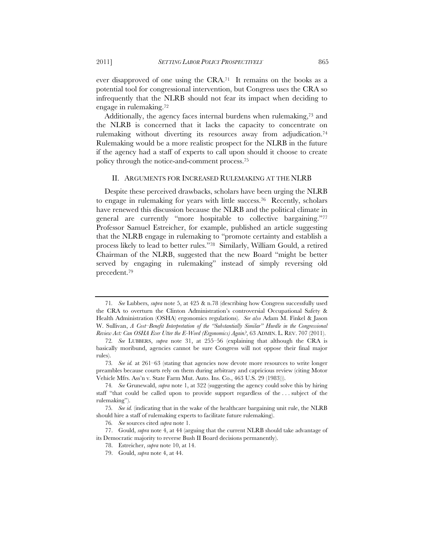ever disapproved of one using the CRA.71 It remains on the books as a potential tool for congressional intervention, but Congress uses the CRA so infrequently that the NLRB should not fear its impact when deciding to engage in rulemaking.72

Additionally, the agency faces internal burdens when rulemaking,73 and the NLRB is concerned that it lacks the capacity to concentrate on rulemaking without diverting its resources away from adjudication.74 Rulemaking would be a more realistic prospect for the NLRB in the future if the agency had a staff of experts to call upon should it choose to create policy through the notice-and-comment process.75

#### II. ARGUMENTS FOR INCREASED RULEMAKING AT THE NLRB

Despite these perceived drawbacks, scholars have been urging the NLRB to engage in rulemaking for years with little success.76 Recently, scholars have renewed this discussion because the NLRB and the political climate in general are currently "more hospitable to collective bargaining."77 Professor Samuel Estreicher, for example, published an article suggesting that the NLRB engage in rulemaking to "promote certainty and establish a process likely to lead to better rules."78 Similarly, William Gould, a retired Chairman of the NLRB, suggested that the new Board "might be better served by engaging in rulemaking" instead of simply reversing old precedent.79

- 78. Estreicher, *supra* note 10, at 14.
- 79. Gould, *supra* note 4, at 44.

<sup>71</sup>*. See* Lubbers, *supra* note 5, at 425 & n.78 (describing how Congress successfully used the CRA to overturn the Clinton Administration's controversial Occupational Safety & Health Administration (OSHA) ergonomics regulations). *See also* Adam M. Finkel & Jason W. Sullivan, *A Cost–Benefit Interpretation of the "Substantially Similar" Hurdle in the Congressional Review Act: Can OSHA Ever Utter the E-Word (Ergonomics) Again?*, 63 ADMIN. L. REV. 707 (2011).

<sup>72</sup>*. See* LUBBERS, *supra* note 31, at 255–56 (explaining that although the CRA is basically moribund, agencies cannot be sure Congress will not oppose their final major rules).

<sup>73</sup>*. See id.* at 261–63 (stating that agencies now devote more resources to write longer preambles because courts rely on them during arbitrary and capricious review (citing Motor Vehicle Mfrs. Ass'n v. State Farm Mut. Auto. Ins. Co., 463 U.S. 29 (1983))).

<sup>74</sup>*. See* Grunewald, *supra* note 1, at 322 (suggesting the agency could solve this by hiring staff "that could be called upon to provide support regardless of the . . . subject of the rulemaking").

<sup>75</sup>*. See id.* (indicating that in the wake of the healthcare bargaining unit rule, the NLRB should hire a staff of rulemaking experts to facilitate future rulemaking).

<sup>76</sup>*. See* sources cited *supra* note 1.

<sup>77.</sup> Gould, *supra* note 4, at 44 (arguing that the current NLRB should take advantage of its Democratic majority to reverse Bush II Board decisions permanently).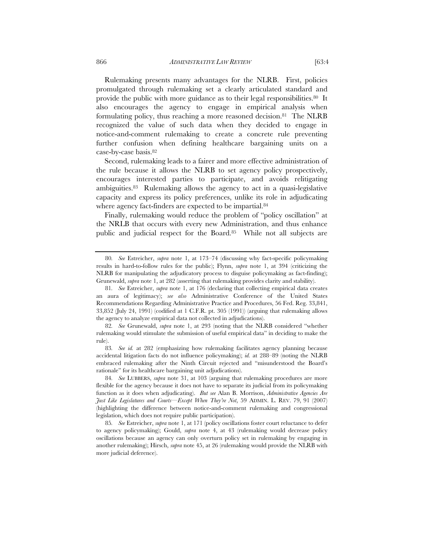Rulemaking presents many advantages for the NLRB. First, policies promulgated through rulemaking set a clearly articulated standard and provide the public with more guidance as to their legal responsibilities.80 It also encourages the agency to engage in empirical analysis when formulating policy, thus reaching a more reasoned decision.81 The NLRB recognized the value of such data when they decided to engage in notice-and-comment rulemaking to create a concrete rule preventing further confusion when defining healthcare bargaining units on a case-by-case basis.82

Second, rulemaking leads to a fairer and more effective administration of the rule because it allows the NLRB to set agency policy prospectively, encourages interested parties to participate, and avoids relitigating ambiguities.83 Rulemaking allows the agency to act in a quasi-legislative capacity and express its policy preferences, unlike its role in adjudicating where agency fact-finders are expected to be impartial.<sup>84</sup>

Finally, rulemaking would reduce the problem of "policy oscillation" at the NRLB that occurs with every new Administration, and thus enhance public and judicial respect for the Board.85 While not all subjects are

<sup>80</sup>*. See* Estreicher, *supra* note 1, at 173–74 (discussing why fact-specific policymaking results in hard-to-follow rules for the public); Flynn, *supra* note 1, at 394 (criticizing the NLRB for manipulating the adjudicatory process to disguise policymaking as fact-finding); Grunewald, *supra* note 1, at 282 (asserting that rulemaking provides clarity and stability).

<sup>81</sup>*. See* Estreicher, *supra* note 1, at 176 (declaring that collecting empirical data creates an aura of legitimacy); *see also* Administrative Conference of the United States Recommendations Regarding Administrative Practice and Procedures, 56 Fed. Reg. 33,841, 33,852 (July 24, 1991) (codified at 1 C.F.R. pt. 305 (1991)) (arguing that rulemaking allows the agency to analyze empirical data not collected in adjudications).

<sup>82</sup>*. See* Grunewald, *supra* note 1, at 293 (noting that the NLRB considered "whether rulemaking would stimulate the submission of useful empirical data" in deciding to make the rule).

<sup>83</sup>*. See id.* at 282 (emphasizing how rulemaking facilitates agency planning because accidental litigation facts do not influence policymaking); *id.* at 288–89 (noting the NLRB embraced rulemaking after the Ninth Circuit rejected and "misunderstood the Board's rationale" for its healthcare bargaining unit adjudications).

<sup>84</sup>*. See* LUBBERS, *supra* note 31, at 103 (arguing that rulemaking procedures are more flexible for the agency because it does not have to separate its judicial from its policymaking function as it does when adjudicating). *But see* Alan B. Morrison, *Administrative Agencies Are Just Like Legislatures and Courts—Except When They're Not*, 59 ADMIN. L. REV. 79, 91 (2007) (highlighting the difference between notice-and-comment rulemaking and congressional legislation, which does not require public participation).

<sup>85</sup>*. See* Estreicher, *supra* note 1, at 171 (policy oscillations foster court reluctance to defer to agency policymaking); Gould, *supra* note 4, at 43 (rulemaking would decrease policy oscillations because an agency can only overturn policy set in rulemaking by engaging in another rulemaking); Hirsch, *supra* note 45, at 26 (rulemaking would provide the NLRB with more judicial deference).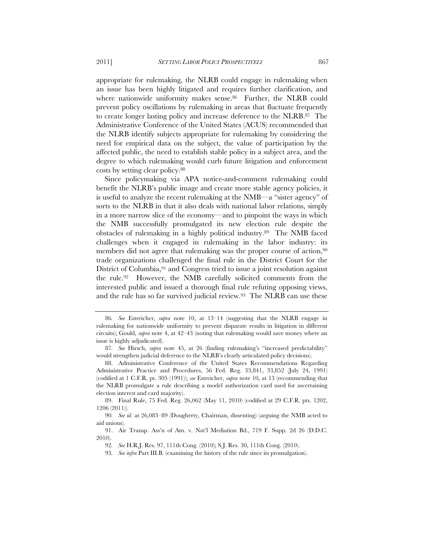appropriate for rulemaking, the NLRB could engage in rulemaking when an issue has been highly litigated and requires further clarification, and where nationwide uniformity makes sense.<sup>86</sup> Further, the NLRB could prevent policy oscillations by rulemaking in areas that fluctuate frequently to create longer lasting policy and increase deference to the NLRB.87 The Administrative Conference of the United States (ACUS) recommended that the NLRB identify subjects appropriate for rulemaking by considering the need for empirical data on the subject, the value of participation by the affected public, the need to establish stable policy in a subject area, and the degree to which rulemaking would curb future litigation and enforcement costs by setting clear policy.88

Since policymaking via APA notice-and-comment rulemaking could benefit the NLRB's public image and create more stable agency policies, it is useful to analyze the recent rulemaking at the NMB—a "sister agency" of sorts to the NLRB in that it also deals with national labor relations, simply in a more narrow slice of the economy—and to pinpoint the ways in which the NMB successfully promulgated its new election rule despite the obstacles of rulemaking in a highly political industry.89 The NMB faced challenges when it engaged in rulemaking in the labor industry: its members did not agree that rulemaking was the proper course of action,<sup>90</sup> trade organizations challenged the final rule in the District Court for the District of Columbia,<sup>91</sup> and Congress tried to issue a joint resolution against the rule.92 However, the NMB carefully solicited comments from the interested public and issued a thorough final rule refuting opposing views, and the rule has so far survived judicial review.93 The NLRB can use these

<sup>86</sup>*. See* Estreicher, *supra* note 10, at 13–14 (suggesting that the NLRB engage in rulemaking for nationwide uniformity to prevent disparate results in litigation in different circuits); Gould, *supra* note 4, at 42–43 (noting that rulemaking would save money where an issue is highly adjudicated).

<sup>87</sup>*. See* Hirsch, *supra* note 45, at 26 (finding rulemaking's "increased predictability" would strengthen judicial deference to the NLRB's clearly articulated policy decisions).

<sup>88.</sup> Administrative Conference of the United States Recommendations Regarding Administrative Practice and Procedures, 56 Fed. Reg. 33,841, 33,852 (July 24, 1991) (codified at 1 C.F.R. pt. 305 (1991)); *see* Estreicher, *supra* note 10, at 13 (recommending that the NLRB promulgate a rule describing a model authorization card used for ascertaining election interest and card majority).

<sup>89.</sup> Final Rule, 75 Fed. Reg. 26,062 (May 11, 2010) (codified at 29 C.F.R. pts. 1202, 1206 (2011)).

<sup>90</sup>*. See id.* at 26,083–89 (Dougherty, Chairman, dissenting) (arguing the NMB acted to aid unions).

<sup>91.</sup> Air Transp. Ass'n of Am. v. Nat'l Mediation Bd., 719 F. Supp. 2d 26 (D.D.C. 2010).

<sup>92</sup>*. See* H.R.J. Res. 97, 111th Cong. (2010); S.J. Res. 30, 111th Cong. (2010).

<sup>93</sup>*. See infra* Part III.B. (examining the history of the rule since its promulgation).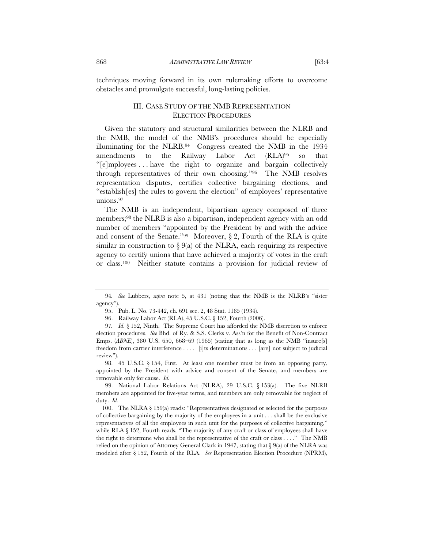techniques moving forward in its own rulemaking efforts to overcome obstacles and promulgate successful, long-lasting policies.

#### III. CASE STUDY OF THE NMB REPRESENTATION ELECTION PROCEDURES

Given the statutory and structural similarities between the NLRB and the NMB, the model of the NMB's procedures should be especially illuminating for the NLRB.94 Congress created the NMB in the 1934 amendments to the Railway Labor Act (RLA)95 so that "[e]mployees . . . have the right to organize and bargain collectively through representatives of their own choosing."96 The NMB resolves representation disputes, certifies collective bargaining elections, and "establish[es] the rules to govern the election" of employees' representative unions.97

The NMB is an independent, bipartisan agency composed of three members;98 the NLRB is also a bipartisan, independent agency with an odd number of members "appointed by the President by and with the advice and consent of the Senate."<sup>99</sup> Moreover,  $\S 2$ , Fourth of the RLA is quite similar in construction to  $\S 9(a)$  of the NLRA, each requiring its respective agency to certify unions that have achieved a majority of votes in the craft or class.100 Neither statute contains a provision for judicial review of

<sup>94</sup>*. See* Lubbers, *supra* note 5, at 431 (noting that the NMB is the NLRB's "sister agency").

<sup>95.</sup> Pub. L. No. 73-442, ch. 691 sec. 2, 48 Stat. 1185 (1934).

<sup>96.</sup> Railway Labor Act (RLA), 45 U.S.C. § 152, Fourth (2006).

<sup>97</sup>*. Id*. § 152, Ninth. The Supreme Court has afforded the NMB discretion to enforce election procedures. *See* Bhd. of Ry. & S.S. Clerks v. Ass'n for the Benefit of Non-Contract Emps. (*ABNE*), 380 U.S. 650, 668–69 (1965) (stating that as long as the NMB "insure[s] freedom from carrier interference . . . . [i]ts determinations . . . [are] not subject to judicial review").

<sup>98. 45</sup> U.S.C. § 154, First. At least one member must be from an opposing party, appointed by the President with advice and consent of the Senate, and members are removable only for cause. *Id.* 

<sup>99.</sup> National Labor Relations Act (NLRA), 29 U.S.C. § 153(a). The five NLRB members are appointed for five-year terms, and members are only removable for neglect of duty. *Id.*

 <sup>100.</sup> The NLRA § 159(a) reads: "Representatives designated or selected for the purposes of collective bargaining by the majority of the employees in a unit . . . shall be the exclusive representatives of all the employees in such unit for the purposes of collective bargaining," while RLA § 152, Fourth reads, "The majority of any craft or class of employees shall have the right to determine who shall be the representative of the craft or class . . . ." The NMB relied on the opinion of Attorney General Clark in 1947, stating that  $\S 9(a)$  of the NLRA was modeled after § 152, Fourth of the RLA. *See* Representation Election Procedure (NPRM),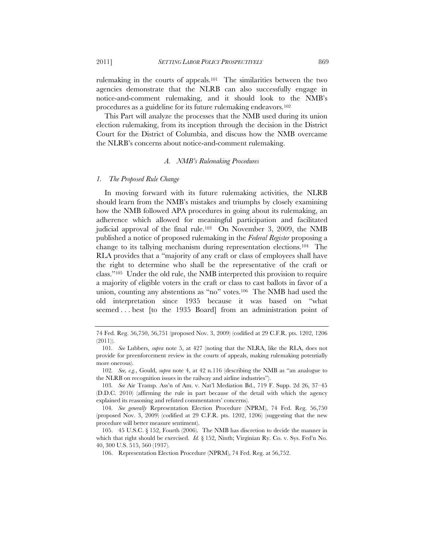2011] *SETTING LABOR POLICY PROSPECTIVELY* 869

rulemaking in the courts of appeals.101 The similarities between the two agencies demonstrate that the NLRB can also successfully engage in notice-and-comment rulemaking, and it should look to the NMB's procedures as a guideline for its future rulemaking endeavors.102

This Part will analyze the processes that the NMB used during its union election rulemaking, from its inception through the decision in the District Court for the District of Columbia, and discuss how the NMB overcame the NLRB's concerns about notice-and-comment rulemaking.

#### *A. NMB's Rulemaking Procedures*

#### *1. The Proposed Rule Change*

In moving forward with its future rulemaking activities, the NLRB should learn from the NMB's mistakes and triumphs by closely examining how the NMB followed APA procedures in going about its rulemaking, an adherence which allowed for meaningful participation and facilitated judicial approval of the final rule.103 On November 3, 2009, the NMB published a notice of proposed rulemaking in the *Federal Register* proposing a change to its tallying mechanism during representation elections.104 The RLA provides that a "majority of any craft or class of employees shall have the right to determine who shall be the representative of the craft or class."105 Under the old rule, the NMB interpreted this provision to require a majority of eligible voters in the craft or class to cast ballots in favor of a union, counting any abstentions as "no" votes.106 The NMB had used the old interpretation since 1935 because it was based on "what seemed . . . best [to the 1935 Board] from an administration point of

<sup>74</sup> Fed. Reg. 56,750, 56,751 (proposed Nov. 3, 2009) (codified at 29 C.F.R. pts. 1202, 1206 (2011)).

<sup>101</sup>*. See* Lubbers, *supra* note 5, at 427 (noting that the NLRA, like the RLA, does not provide for preenforcement review in the courts of appeals, making rulemaking potentially more onerous).

<sup>102</sup>*. See, e.g.*, Gould, *supra* note 4, at 42 n.116 (describing the NMB as "an analogue to the NLRB on recognition issues in the railway and airline industries").

<sup>103</sup>*. See* Air Transp. Ass'n of Am. v. Nat'l Mediation Bd., 719 F. Supp. 2d 26, 37–45 (D.D.C. 2010) (affirming the rule in part because of the detail with which the agency explained its reasoning and refuted commentators' concerns).

<sup>104</sup>*. See generally* Representation Election Procedure (NPRM), 74 Fed. Reg. 56,750 (proposed Nov. 3, 2009) (codified at 29 C.F.R. pts. 1202, 1206) (suggesting that the new procedure will better measure sentiment).

 <sup>105. 45</sup> U.S.C. § 152, Fourth (2006). The NMB has discretion to decide the manner in which that right should be exercised. *Id.* § 152, Ninth; Virginian Ry. Co. v. Sys. Fed'n No. 40, 300 U.S. 515, 560 (1937).

<sup>106.</sup> Representation Election Procedure (NPRM), 74 Fed. Reg. at 56,752.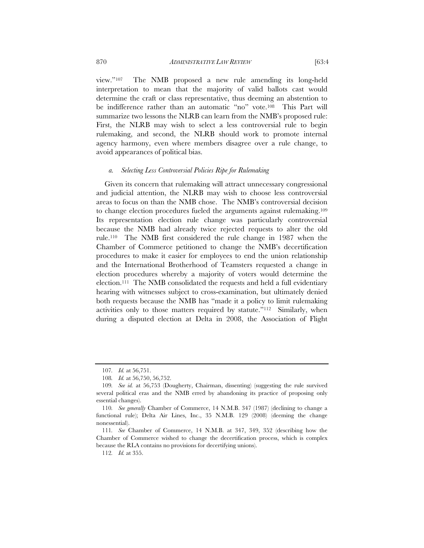view."107 The NMB proposed a new rule amending its long-held interpretation to mean that the majority of valid ballots cast would determine the craft or class representative, thus deeming an abstention to be indifference rather than an automatic "no" vote.<sup>108</sup> This Part will summarize two lessons the NLRB can learn from the NMB's proposed rule: First, the NLRB may wish to select a less controversial rule to begin rulemaking, and second, the NLRB should work to promote internal agency harmony, even where members disagree over a rule change, to avoid appearances of political bias.

#### *a. Selecting Less Controversial Policies Ripe for Rulemaking*

Given its concern that rulemaking will attract unnecessary congressional and judicial attention, the NLRB may wish to choose less controversial areas to focus on than the NMB chose. The NMB's controversial decision to change election procedures fueled the arguments against rulemaking.109 Its representation election rule change was particularly controversial because the NMB had already twice rejected requests to alter the old rule.110 The NMB first considered the rule change in 1987 when the Chamber of Commerce petitioned to change the NMB's decertification procedures to make it easier for employees to end the union relationship and the International Brotherhood of Teamsters requested a change in election procedures whereby a majority of voters would determine the election.111 The NMB consolidated the requests and held a full evidentiary hearing with witnesses subject to cross-examination, but ultimately denied both requests because the NMB has "made it a policy to limit rulemaking activities only to those matters required by statute."112 Similarly, when during a disputed election at Delta in 2008, the Association of Flight

<sup>107</sup>*. Id.* at 56,751.

<sup>108</sup>*. Id.* at 56,750, 56,752.

<sup>109</sup>*. See id.* at 56,753 (Dougherty, Chairman, dissenting) (suggesting the rule survived several political eras and the NMB erred by abandoning its practice of proposing only essential changes).

<sup>110</sup>*. See generally* Chamber of Commerce, 14 N.M.B. 347 (1987) (declining to change a functional rule); Delta Air Lines, Inc., 35 N.M.B. 129 (2008) (deeming the change nonessential).

<sup>111</sup>*. See* Chamber of Commerce, 14 N.M.B. at 347, 349, 352 (describing how the Chamber of Commerce wished to change the decertification process, which is complex because the RLA contains no provisions for decertifying unions).

<sup>112</sup>*. Id.* at 355.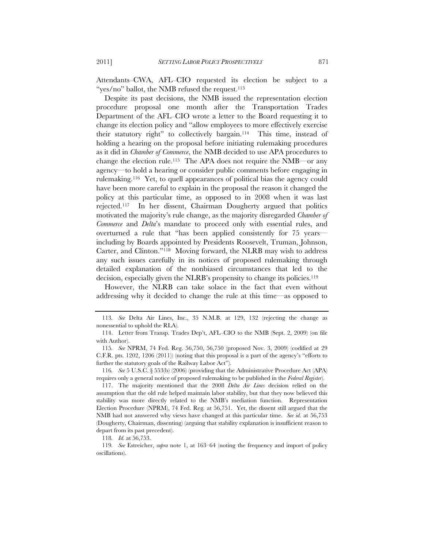Attendants–CWA, AFL–CIO requested its election be subject to a "yes/no" ballot, the NMB refused the request. $113$ 

Despite its past decisions, the NMB issued the representation election procedure proposal one month after the Transportation Trades Department of the AFL–CIO wrote a letter to the Board requesting it to change its election policy and "allow employees to more effectively exercise their statutory right" to collectively bargain.114 This time, instead of holding a hearing on the proposal before initiating rulemaking procedures as it did in *Chamber of Commerce*, the NMB decided to use APA procedures to change the election rule.115 The APA does not require the NMB—or any agency—to hold a hearing or consider public comments before engaging in rulemaking.116 Yet, to quell appearances of political bias the agency could have been more careful to explain in the proposal the reason it changed the policy at this particular time, as opposed to in 2008 when it was last rejected.117 In her dissent, Chairman Dougherty argued that politics motivated the majority's rule change, as the majority disregarded *Chamber of Commerce* and *Delta*'s mandate to proceed only with essential rules, and overturned a rule that "has been applied consistently for 75 years including by Boards appointed by Presidents Roosevelt, Truman, Johnson, Carter, and Clinton."118 Moving forward, the NLRB may wish to address any such issues carefully in its notices of proposed rulemaking through detailed explanation of the nonbiased circumstances that led to the decision, especially given the NLRB's propensity to change its policies.<sup>119</sup>

However, the NLRB can take solace in the fact that even without addressing why it decided to change the rule at this time—as opposed to

<sup>113</sup>*. See* Delta Air Lines, Inc., 35 N.M.B. at 129, 132 (rejecting the change as nonessential to uphold the RLA).

 <sup>114.</sup> Letter from Transp. Trades Dep't, AFL–CIO to the NMB (Sept. 2, 2009) (on file with Author).

<sup>115</sup>*. See* NPRM, 74 Fed. Reg. 56,750, 56,750 (proposed Nov. 3, 2009) (codified at 29 C.F.R. pts. 1202, 1206 (2011)) (noting that this proposal is a part of the agency's "efforts to further the statutory goals of the Railway Labor Act").

<sup>116</sup>*. See* 5 U.S.C. § 553(b) (2006) (providing that the Administrative Procedure Act (APA) requires only a general notice of proposed rulemaking to be published in the *Federal Register*).

 <sup>117.</sup> The majority mentioned that the 2008 *Delta Air Lines* decision relied on the assumption that the old rule helped maintain labor stability, but that they now believed this stability was more directly related to the NMB's mediation function. Representation Election Procedure (NPRM), 74 Fed. Reg*.* at 56,751. Yet, the dissent still argued that the NMB had not answered why views have changed at this particular time. *See id.* at 56,753 (Dougherty, Chairman, dissenting) (arguing that stability explanation is insufficient reason to depart from its past precedent).

<sup>118</sup>*. Id.* at 56,753.

<sup>119</sup>*. See* Estreicher, *supra* note 1, at 163–64 (noting the frequency and import of policy oscillations).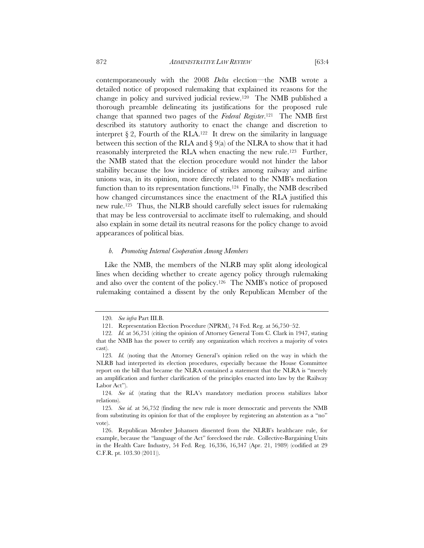contemporaneously with the 2008 *Delta* election—the NMB wrote a detailed notice of proposed rulemaking that explained its reasons for the change in policy and survived judicial review.120 The NMB published a thorough preamble delineating its justifications for the proposed rule change that spanned two pages of the *Federal Register*.121 The NMB first described its statutory authority to enact the change and discretion to interpret  $\S 2$ , Fourth of the RLA.<sup>122</sup> It drew on the similarity in language between this section of the RLA and  $\S 9(a)$  of the NLRA to show that it had reasonably interpreted the RLA when enacting the new rule.<sup>123</sup> Further, the NMB stated that the election procedure would not hinder the labor stability because the low incidence of strikes among railway and airline unions was, in its opinion, more directly related to the NMB's mediation function than to its representation functions.<sup>124</sup> Finally, the NMB described how changed circumstances since the enactment of the RLA justified this new rule.125 Thus, the NLRB should carefully select issues for rulemaking that may be less controversial to acclimate itself to rulemaking, and should also explain in some detail its neutral reasons for the policy change to avoid appearances of political bias.

#### *b. Promoting Internal Cooperation Among Members*

Like the NMB, the members of the NLRB may split along ideological lines when deciding whether to create agency policy through rulemaking and also over the content of the policy.126 The NMB's notice of proposed rulemaking contained a dissent by the only Republican Member of the

<sup>120</sup>*. See infra* Part III.B.

 <sup>121.</sup> Representation Election Procedure (NPRM), 74 Fed*.* Reg. at 56,750–52.

<sup>122</sup>*. Id.* at 56,751 (citing the opinion of Attorney General Tom C. Clark in 1947, stating that the NMB has the power to certify any organization which receives a majority of votes cast).

<sup>123</sup>*. Id.* (noting that the Attorney General's opinion relied on the way in which the NLRB had interpreted its election procedures, especially because the House Committee report on the bill that became the NLRA contained a statement that the NLRA is "merely an amplification and further clarification of the principles enacted into law by the Railway Labor Act").

<sup>124</sup>*. See id.* (stating that the RLA's mandatory mediation process stabilizes labor relations).

<sup>125</sup>*. See id.* at 56,752 (finding the new rule is more democratic and prevents the NMB from substituting its opinion for that of the employee by registering an abstention as a "no" vote).

 <sup>126.</sup> Republican Member Johansen dissented from the NLRB's healthcare rule, for example, because the "language of the Act" foreclosed the rule. Collective-Bargaining Units in the Health Care Industry, 54 Fed. Reg. 16,336, 16,347 (Apr. 21, 1989) (codified at 29 C.F.R. pt. 103.30 (2011)).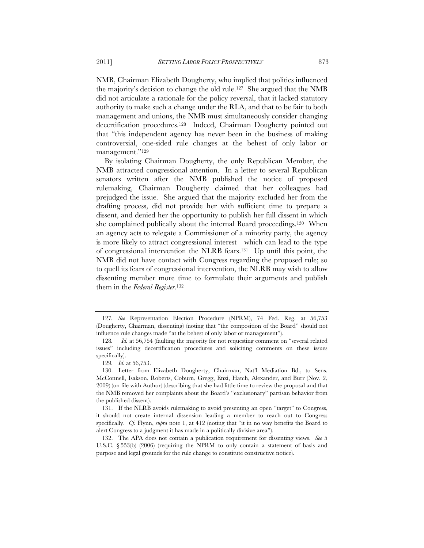NMB, Chairman Elizabeth Dougherty, who implied that politics influenced the majority's decision to change the old rule.127 She argued that the NMB did not articulate a rationale for the policy reversal, that it lacked statutory authority to make such a change under the RLA, and that to be fair to both management and unions, the NMB must simultaneously consider changing decertification procedures.128 Indeed, Chairman Dougherty pointed out that "this independent agency has never been in the business of making controversial, one-sided rule changes at the behest of only labor or management."129

By isolating Chairman Dougherty, the only Republican Member, the NMB attracted congressional attention. In a letter to several Republican senators written after the NMB published the notice of proposed rulemaking, Chairman Dougherty claimed that her colleagues had prejudged the issue. She argued that the majority excluded her from the drafting process, did not provide her with sufficient time to prepare a dissent, and denied her the opportunity to publish her full dissent in which she complained publically about the internal Board proceedings.<sup>130</sup> When an agency acts to relegate a Commissioner of a minority party, the agency is more likely to attract congressional interest—which can lead to the type of congressional intervention the NLRB fears.131 Up until this point, the NMB did not have contact with Congress regarding the proposed rule; so to quell its fears of congressional intervention, the NLRB may wish to allow dissenting member more time to formulate their arguments and publish them in the *Federal Register*.132

<sup>127</sup>*. See* Representation Election Procedure (NPRM), 74 Fed. Reg. at 56,753 (Dougherty, Chairman, dissenting) (noting that "the composition of the Board" should not influence rule changes made "at the behest of only labor or management").

<sup>128</sup>*. Id.* at 56,754 (faulting the majority for not requesting comment on "several related issues" including decertification procedures and soliciting comments on these issues specifically).

<sup>129</sup>*. Id.* at 56,753.

 <sup>130.</sup> Letter from Elizabeth Dougherty, Chairman, Nat'l Mediation Bd., to Sens. McConnell, Isakson, Roberts, Coburn, Gregg, Enzi, Hatch, Alexander, and Burr (Nov. 2, 2009) (on file with Author) (describing that she had little time to review the proposal and that the NMB removed her complaints about the Board's "exclusionary" partisan behavior from the published dissent).

<sup>131.</sup> If the NLRB avoids rulemaking to avoid presenting an open "target" to Congress, it should not create internal dissension leading a member to reach out to Congress specifically. *Cf.* Flynn, *supra* note 1, at 412 (noting that "it in no way benefits the Board to alert Congress to a judgment it has made in a politically divisive area").

 <sup>132.</sup> The APA does not contain a publication requirement for dissenting views. *See* 5 U.S.C. § 553(b) (2006) (requiring the NPRM to only contain a statement of basis and purpose and legal grounds for the rule change to constitute constructive notice).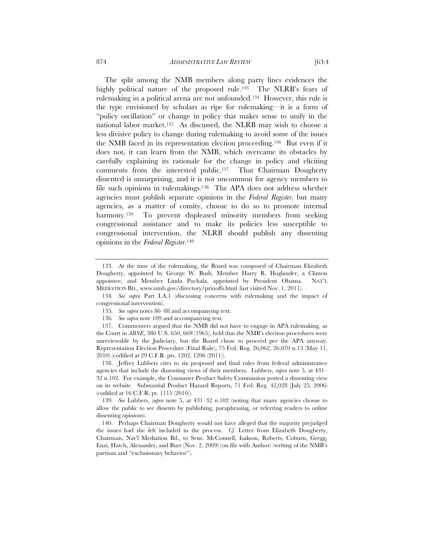The split among the NMB members along party lines evidences the highly political nature of the proposed rule.<sup>133</sup> The NLRB's fears of rulemaking in a political arena are not unfounded.134 However, this rule is the type envisioned by scholars as ripe for rulemaking—it is a form of "policy oscillation" or change in policy that makes sense to unify in the national labor market.135 As discussed, the NLRB may wish to choose a less divisive policy to change during rulemaking to avoid some of the issues the NMB faced in its representation election proceeding.136 But even if it does not, it can learn from the NMB, which overcame its obstacles by carefully explaining its rationale for the change in policy and eliciting comments from the interested public.137 That Chairman Dougherty dissented is unsurprising, and it is not uncommon for agency members to file such opinions in rulemakings.138 The APA does not address whether agencies must publish separate opinions in the *Federal Register*, but many agencies, as a matter of comity, choose to do so to promote internal harmony.<sup>139</sup> To prevent displeased minority members from seeking congressional assistance and to make its policies less susceptible to congressional intervention, the NLRB should publish any dissenting opinions in the *Federal Register*.140

 138. Jeffrey Lubbers cites to six proposed and final rules from federal administrative agencies that include the dissenting views of their members. Lubbers, *supra* note 5, at 431– 32 n.102. For example, the Consumer Product Safety Commission posted a dissenting view on its website. Substantial Product Hazard Reports, 71 Fed. Reg. 42,028 (July 25, 2006) (codified at 16 C.F.R. pt. 1115 (2010)).

 <sup>133.</sup> At the time of the rulemaking, the Board was composed of Chairman Elizabeth Dougherty, appointed by George W. Bush, Member Harry R. Hoglander, a Clinton appointee, and Member Linda Puchala, appointed by President Obama. NAT'L MEDIATION BD., www.nmb.gov/directory/prinoffs.html (last visited Nov. 1, 2011).

<sup>134</sup>*. See supra* Part I.A.1 (discussing concerns with rulemaking and the impact of congressional intervention).

<sup>135</sup>*. See supra* notes 86–88 and accompanying text.

<sup>136</sup>*. See supra* note 109 and accompanying text.

<sup>137.</sup> Commenters argued that the NMB did not have to engage in APA rulemaking, as the Court in *ABNE*, 380 U.S. 650, 669 (1965), held that the NMB's election procedures were unreviewable by the Judiciary, but the Board chose to proceed per the APA anyway. Representation Election Procedure (Final Rule), 75 Fed. Reg. 26,062, 26,070 n.15 (May 11, 2010) (codified at 29 C.F.R. pts. 1202, 1206 (2011)).

<sup>139</sup>*. See* Lubbers, *supra* note 5, at 431–32 n.102 (noting that many agencies choose to allow the public to see dissents by publishing, paraphrasing, or referring readers to online dissenting opinions).

 <sup>140.</sup> Perhaps Chairman Dougherty would not have alleged that the majority prejudged the issues had she felt included in the process. *Cf.* Letter from Elizabeth Dougherty, Chairman, Nat'l Mediation Bd., to Sens. McConnell, Isakson, Roberts, Coburn, Gregg, Enzi, Hatch, Alexander, and Burr (Nov. 2, 2009) (on file with Author) (writing of the NMB's partisan and "exclusionary behavior").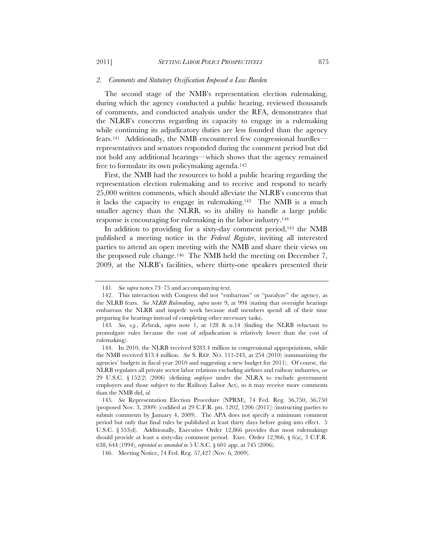#### *2. Comments and Statutory Ossification Imposed a Low Burden*

The second stage of the NMB's representation election rulemaking, during which the agency conducted a public hearing, reviewed thousands of comments, and conducted analysis under the RFA, demonstrates that the NLRB's concerns regarding its capacity to engage in a rulemaking while continuing its adjudicatory duties are less founded than the agency fears.141 Additionally, the NMB encountered few congressional hurdles representatives and senators responded during the comment period but did not hold any additional hearings—which shows that the agency remained free to formulate its own policymaking agenda.142

First, the NMB had the resources to hold a public hearing regarding the representation election rulemaking and to receive and respond to nearly 25,000 written comments, which should alleviate the NLRB's concerns that it lacks the capacity to engage in rulemaking.143 The NMB is a much smaller agency than the NLRB, so its ability to handle a large public response is encouraging for rulemaking in the labor industry.144

In addition to providing for a sixty-day comment period,145 the NMB published a meeting notice in the *Federal Register*, inviting all interested parties to attend an open meeting with the NMB and share their views on the proposed rule change.146 The NMB held the meeting on December 7, 2009, at the NLRB's facilities, where thirty-one speakers presented their

<sup>141</sup>*. See supra* notes 73–75 and accompanying text.

 <sup>142.</sup> This interaction with Congress did not "embarrass" or "paralyze" the agency, as the NLRB fears. *See NLRB Rulemaking*, *supra* note 9, at 994 (stating that oversight hearings embarrass the NLRB and impede work because staff members spend all of their time preparing for hearings instead of completing other necessary tasks).

<sup>143</sup>*. See, e.g.*, Zebrak, *supra* note 1, at 128 & n.14 (finding the NLRB reluctant to promulgate rules because the cost of adjudication is relatively lower than the cost of rulemaking).

 <sup>144.</sup> In 2010, the NLRB received \$283.4 million in congressional appropriations, while the NMB received \$13.4 million. *See* S. REP. NO. 111-243, at 254 (2010) (summarizing the agencies' budgets in fiscal year 2010 and suggesting a new budget for 2011). Of course, the NLRB regulates all private sector labor relations excluding airlines and railway industries, *see* 29 U.S.C. § 152(2) (2006) (defining *employer* under the NLRA to exclude government employers and those subject to the Railway Labor Act), so it may receive more comments than the NMB did, *id.* 

<sup>145</sup>*. See* Representation Election Procedure (NPRM), 74 Fed. Reg. 56,750, 56,750 (proposed Nov. 3, 2009) (codified at 29 C.F.R. pts. 1202, 1206 (2011)) (instructing parties to submit comments by January 4, 2009). The APA does not specify a minimum comment period but only that final rules be published at least thirty days before going into effect. 5 U.S.C. § 553(d). Additionally, Executive Order 12,866 provides that most rulemakings should provide at least a sixty-day comment period. Exec. Order 12,966, § 6(a), 3 C.F.R. 638, 644 (1994), *reprinted as amended in* 5 U.S.C. § 601 app. at 745 (2006).

<sup>146.</sup> Meeting Notice, 74 Fed. Reg. 57,427 (Nov. 6, 2009).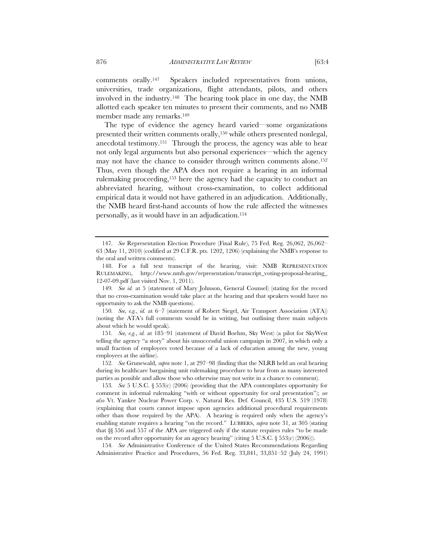comments orally.147 Speakers included representatives from unions, universities, trade organizations, flight attendants, pilots, and others involved in the industry.148 The hearing took place in one day, the NMB allotted each speaker ten minutes to present their comments, and no NMB member made any remarks.149

The type of evidence the agency heard varied—some organizations presented their written comments orally,150 while others presented nonlegal, anecdotal testimony.151 Through the process, the agency was able to hear not only legal arguments but also personal experiences—which the agency may not have the chance to consider through written comments alone.152 Thus, even though the APA does not require a hearing in an informal rulemaking proceeding,153 here the agency had the capacity to conduct an abbreviated hearing, without cross-examination, to collect additional empirical data it would not have gathered in an adjudication. Additionally, the NMB heard first-hand accounts of how the rule affected the witnesses personally, as it would have in an adjudication.154

149*. See id.* at 5 (statement of Mary Johnson, General Counsel) (stating for the record that no cross-examination would take place at the hearing and that speakers would have no opportunity to ask the NMB questions).

150*. See, e.g.*, *id.* at 6–7 (statement of Robert Siegel, Air Transport Association (ATA)) (noting the ATA's full comments would be in writing, but outlining three main subjects about which he would speak).

151*. See, e.g.*, *id.* at 185–91 (statement of David Boehm, Sky West) (a pilot for SkyWest telling the agency "a story" about his unsuccessful union campaign in 2007, in which only a small fraction of employees voted because of a lack of education among the new, young employees at the airline).

152*. See* Grunewald, *supra* note 1, at 297–98 (finding that the NLRB held an oral hearing during its healthcare bargaining unit rulemaking procedure to hear from as many interested parties as possible and allow those who otherwise may not write in a chance to comment).

153*. See* 5 U.S.C. § 553(c) (2006) (providing that the APA contemplates opportunity for comment in informal rulemaking "with or without opportunity for oral presentation"); *see also* Vt. Yankee Nuclear Power Corp. v. Natural Res. Def. Council, 435 U.S. 519 (1978) (explaining that courts cannot impose upon agencies additional procedural requirements other than those required by the APA). A hearing is required only when the agency's enabling statute requires a hearing "on the record." LUBBERS, *supra* note 31, at 305 (stating that §§ 556 and 557 of the APA are triggered only if the statute requires rules "to be made on the record after opportunity for an agency hearing" (citing 5 U.S.C. § 553(c) (2006))).

154*. See* Administrative Conference of the United States Recommendations Regarding Administrative Practice and Procedures, 56 Fed. Reg. 33,841, 33,851–52 (July 24, 1991)

<sup>147</sup>*. See* Representation Election Procedure (Final Rule), 75 Fed. Reg. 26,062, 26,062– 63 (May 11, 2010) (codified at 29 C.F.R. pts. 1202, 1206) (explaining the NMB's response to the oral and written comments).

 <sup>148.</sup> For a full text transcript of the hearing, visit: NMB REPRESENTATION RULEMAKING, http://www.nmb.gov/representation/transcript\_voting-proposal-hearing\_ 12-07-09.pdf (last visited Nov. 1, 2011).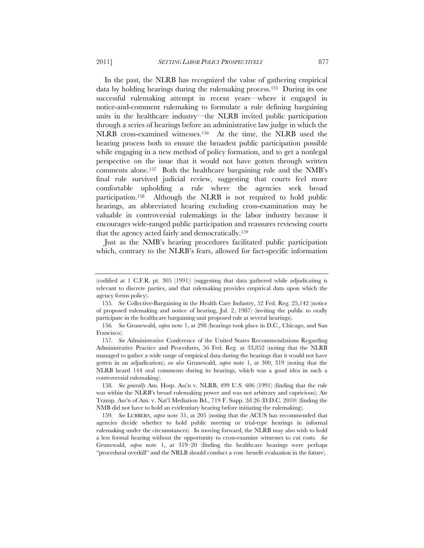In the past, the NLRB has recognized the value of gathering empirical data by holding hearings during the rulemaking process.155 During its one successful rulemaking attempt in recent years—where it engaged in notice-and-comment rulemaking to formulate a rule defining bargaining units in the healthcare industry—the NLRB invited public participation through a series of hearings before an administrative law judge in which the NLRB cross-examined witnesses.156 At the time, the NLRB used the hearing process both to ensure the broadest public participation possible while engaging in a new method of policy formation, and to get a nonlegal perspective on the issue that it would not have gotten through written comments alone.157 Both the healthcare bargaining rule and the NMB's final rule survived judicial review, suggesting that courts feel more comfortable upholding a rule where the agencies seek broad participation.158 Although the NLRB is not required to hold public hearings, an abbreviated hearing excluding cross-examination may be valuable in controversial rulemakings in the labor industry because it encourages wide-ranged public participation and reassures reviewing courts that the agency acted fairly and democratically.159

Just as the NMB's hearing procedures facilitated public participation which, contrary to the NLRB's fears, allowed for fact-specific information

<sup>(</sup>codified at 1 C.F.R. pt. 305 (1991)) (suggesting that data gathered while adjudicating is relevant to discrete parties, and that rulemaking provides empirical data upon which the agency forms policy).

<sup>155</sup>*. See* Collective-Bargaining in the Health Care Industry, 52 Fed. Reg. 25,142 (notice of proposed rulemaking and notice of hearing, Jul. 2, 1987) (inviting the public to orally participate in the healthcare bargaining unit proposed rule at several hearings).

<sup>156</sup>*. See* Grunewald, *supra* note 1, at 298 (hearings took place in D.C., Chicago, and San Francisco).

<sup>157</sup>*. See* Administrative Conference of the United States Recommendations Regarding Administrative Practice and Procedures, 56 Fed. Reg. at 33,852 (noting that the NLRB managed to gather a wide range of empirical data during the hearings that it would not have gotten in an adjudication); *see also* Grunewald, *supra* note 1, at 300, 319 (noting that the NLRB heard 144 oral comments during its hearings, which was a good idea in such a controversial rulemaking).

<sup>158</sup>*. See generally* Am. Hosp. Ass'n v. NLRB, 499 U.S. 606 (1991) (finding that the rule was within the NLRB's broad rulemaking power and was not arbitrary and capricious); Air Transp. Ass'n of Am. v. Nat'l Mediation Bd., 719 F. Supp. 2d 26 (D.D.C. 2010) (finding the NMB did not have to hold an evidentiary hearing before initiating the rulemaking).

<sup>159</sup>*. See* LUBBERS, *supra* note 31, at 205 (noting that the ACUS has recommended that agencies decide whether to hold public meeting or trial-type hearings in informal rulemaking under the circumstances). In moving forward, the NLRB may also wish to hold a less formal hearing without the opportunity to cross-examine witnesses to cut costs. *See*  Grunewald, *supra* note 1, at 319–20 (finding the healthcare hearings were perhaps "procedural overkill" and the NRLB should conduct a cost–benefit evaluation in the future).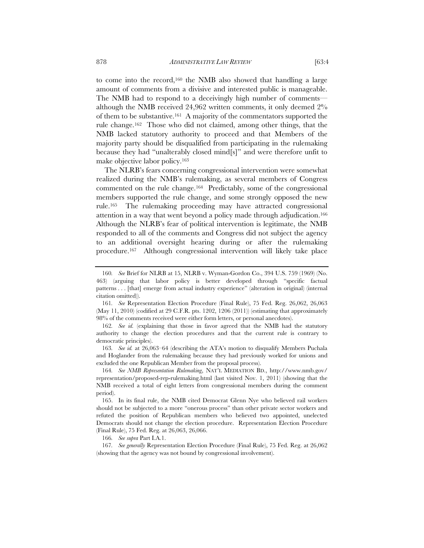to come into the record,160 the NMB also showed that handling a large amount of comments from a divisive and interested public is manageable. The NMB had to respond to a deceivingly high number of comments although the NMB received 24,962 written comments, it only deemed 2% of them to be substantive.161 A majority of the commentators supported the rule change.162 Those who did not claimed, among other things, that the NMB lacked statutory authority to proceed and that Members of the majority party should be disqualified from participating in the rulemaking because they had "unalterably closed mind[s]" and were therefore unfit to make objective labor policy.163

The NLRB's fears concerning congressional intervention were somewhat realized during the NMB's rulemaking, as several members of Congress commented on the rule change.164 Predictably, some of the congressional members supported the rule change, and some strongly opposed the new rule.165 The rulemaking proceeding may have attracted congressional attention in a way that went beyond a policy made through adjudication.166 Although the NLRB's fear of political intervention is legitimate, the NMB responded to all of the comments and Congress did not subject the agency to an additional oversight hearing during or after the rulemaking procedure.167 Although congressional intervention will likely take place

163*. See id.* at 26,063–64 (describing the ATA's motion to disqualify Members Puchala and Hoglander from the rulemaking because they had previously worked for unions and excluded the one Republican Member from the proposal process).

164*. See NMB Representation Rulemaking*, NAT'L MEDIATION BD., http://www.nmb.gov/ representation/proposed-rep-rulemaking.html (last visited Nov. 1, 2011) (showing that the NMB received a total of eight letters from congressional members during the comment period).

 165. In its final rule, the NMB cited Democrat Glenn Nye who believed rail workers should not be subjected to a more "onerous process" than other private sector workers and refuted the position of Republican members who believed two appointed, unelected Democrats should not change the election procedure. Representation Election Procedure (Final Rule), 75 Fed. Reg. at 26,063, 26,066.

166*. See supra* Part I.A.1.

167*. See generally* Representation Election Procedure (Final Rule), 75 Fed. Reg. at 26,062 (showing that the agency was not bound by congressional involvement).

<sup>160</sup>*. See* Brief for NLRB at 15, NLRB v. Wyman-Gordon Co., 394 U.S. 759 (1969) (No. 463) (arguing that labor policy is better developed through "specific factual patterns . . . [that] emerge from actual industry experience" (alteration in original) (internal citation omitted)).

<sup>161</sup>*. See* Representation Election Procedure (Final Rule), 75 Fed. Reg. 26,062, 26,063 (May 11, 2010) (codified at 29 C.F.R. pts. 1202, 1206 (2011)) (estimating that approximately 98% of the comments received were either form letters, or personal anecdotes).

<sup>162</sup>*. See id.* (explaining that those in favor agreed that the NMB had the statutory authority to change the election procedures and that the current rule is contrary to democratic principles).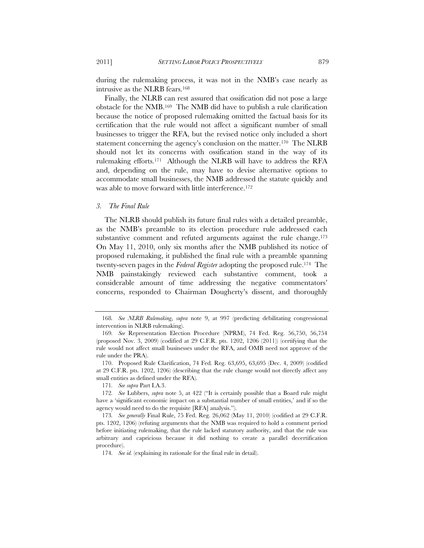during the rulemaking process, it was not in the NMB's case nearly as intrusive as the NLRB fears.168

Finally, the NLRB can rest assured that ossification did not pose a large obstacle for the NMB.169 The NMB did have to publish a rule clarification because the notice of proposed rulemaking omitted the factual basis for its certification that the rule would not affect a significant number of small businesses to trigger the RFA, but the revised notice only included a short statement concerning the agency's conclusion on the matter.<sup>170</sup> The NLRB should not let its concerns with ossification stand in the way of its rulemaking efforts.171 Although the NLRB will have to address the RFA and, depending on the rule, may have to devise alternative options to accommodate small businesses, the NMB addressed the statute quickly and was able to move forward with little interference.172

#### *3. The Final Rule*

The NLRB should publish its future final rules with a detailed preamble, as the NMB's preamble to its election procedure rule addressed each substantive comment and refuted arguments against the rule change.<sup>173</sup> On May 11, 2010, only six months after the NMB published its notice of proposed rulemaking, it published the final rule with a preamble spanning twenty-seven pages in the *Federal Register* adopting the proposed rule.174 The NMB painstakingly reviewed each substantive comment, took a considerable amount of time addressing the negative commentators' concerns, responded to Chairman Dougherty's dissent, and thoroughly

171*. See supra* Part I.A.3.

<sup>168</sup>*. See NLRB Rulemaking*, *supra* note 9, at 997 (predicting debilitating congressional intervention in NLRB rulemaking).

<sup>169</sup>*. See* Representation Election Procedure (NPRM), 74 Fed. Reg. 56,750, 56,754 (proposed Nov. 3, 2009) (codified at 29 C.F.R. pts. 1202, 1206 (2011)) (certifying that the rule would not affect small businesses under the RFA, and OMB need not approve of the rule under the PRA).

 <sup>170.</sup> Proposed Rule Clarification, 74 Fed. Reg. 63,695, 63,695 (Dec. 4, 2009) (codified at 29 C.F.R. pts. 1202, 1206) (describing that the rule change would not directly affect any small entities as defined under the RFA).

<sup>172</sup>*. See* Lubbers, *supra* note 5, at 422 ("It is certainly possible that a Board rule might have a 'significant economic impact on a substantial number of small entities,' and if so the agency would need to do the requisite [RFA] analysis.").

<sup>173</sup>*. See generally* Final Rule, 75 Fed. Reg. 26,062 (May 11, 2010) (codified at 29 C.F.R. pts. 1202, 1206) (refuting arguments that the NMB was required to hold a comment period before initiating rulemaking, that the rule lacked statutory authority, and that the rule was arbitrary and capricious because it did nothing to create a parallel decertification procedure).

<sup>174</sup>*. See id.* (explaining its rationale for the final rule in detail).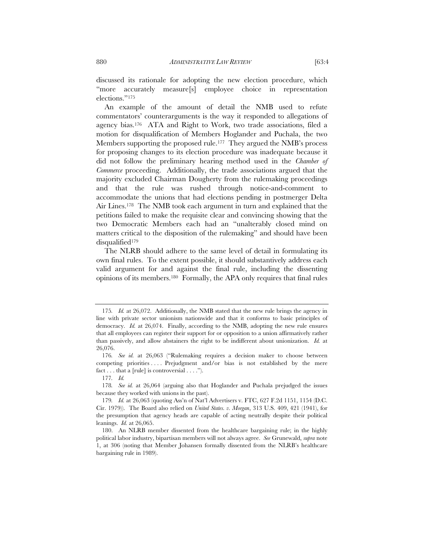discussed its rationale for adopting the new election procedure, which "more accurately measure[s] employee choice in representation elections."175

An example of the amount of detail the NMB used to refute commentators' counterarguments is the way it responded to allegations of agency bias.176 ATA and Right to Work, two trade associations, filed a motion for disqualification of Members Hoglander and Puchala, the two Members supporting the proposed rule.<sup>177</sup> They argued the NMB's process for proposing changes to its election procedure was inadequate because it did not follow the preliminary hearing method used in the *Chamber of Commerce* proceeding. Additionally, the trade associations argued that the majority excluded Chairman Dougherty from the rulemaking proceedings and that the rule was rushed through notice-and-comment to accommodate the unions that had elections pending in postmerger Delta Air Lines.178 The NMB took each argument in turn and explained that the petitions failed to make the requisite clear and convincing showing that the two Democratic Members each had an "unalterably closed mind on matters critical to the disposition of the rulemaking" and should have been disqualified179

The NLRB should adhere to the same level of detail in formulating its own final rules. To the extent possible, it should substantively address each valid argument for and against the final rule, including the dissenting opinions of its members.180 Formally, the APA only requires that final rules

<sup>175</sup>*. Id.* at 26,072. Additionally, the NMB stated that the new rule brings the agency in line with private sector unionism nationwide and that it conforms to basic principles of democracy. *Id.* at 26,074. Finally, according to the NMB, adopting the new rule ensures that all employees can register their support for or opposition to a union affirmatively rather than passively, and allow abstainers the right to be indifferent about unionization. *Id.* at 26,076.

<sup>176</sup>*. See id.* at 26,063 ("Rulemaking requires a decision maker to choose between competing priorities . . . . Prejudgment and/or bias is not established by the mere fact  $\dots$  that a [rule] is controversial  $\dots$ .").

<sup>177</sup>*. Id.*

<sup>178</sup>*. See id.* at 26,064 (arguing also that Hoglander and Puchala prejudged the issues because they worked with unions in the past).

<sup>179</sup>*. Id.* at 26,063 (quoting Ass'n of Nat'l Advertisers v. FTC, 627 F.2d 1151, 1154 (D.C. Cir. 1979)). The Board also relied on *United States. v. Morgan*, 313 U.S. 409, 421 (1941), for the presumption that agency heads are capable of acting neutrally despite their political leanings. *Id.* at 26,065.

 <sup>180.</sup> An NLRB member dissented from the healthcare bargaining rule; in the highly political labor industry, bipartisan members will not always agree. *See* Grunewald, *supra* note 1, at 306 (noting that Member Johansen formally dissented from the NLRB's healthcare bargaining rule in 1989).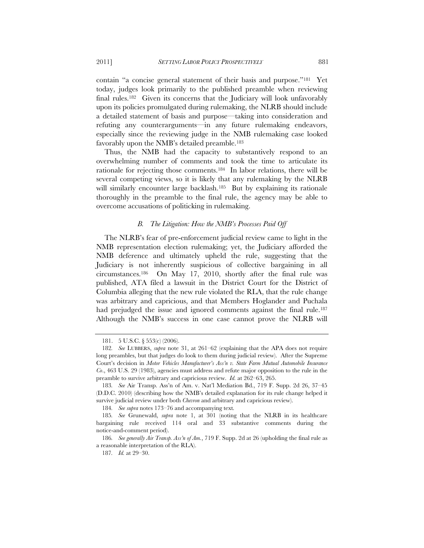contain "a concise general statement of their basis and purpose."181 Yet today, judges look primarily to the published preamble when reviewing final rules.182 Given its concerns that the Judiciary will look unfavorably upon its policies promulgated during rulemaking, the NLRB should include a detailed statement of basis and purpose—taking into consideration and refuting any counterarguments—in any future rulemaking endeavors, especially since the reviewing judge in the NMB rulemaking case looked favorably upon the NMB's detailed preamble.183

Thus, the NMB had the capacity to substantively respond to an overwhelming number of comments and took the time to articulate its rationale for rejecting those comments.184 In labor relations, there will be several competing views, so it is likely that any rulemaking by the NLRB will similarly encounter large backlash.<sup>185</sup> But by explaining its rationale thoroughly in the preamble to the final rule, the agency may be able to overcome accusations of politicking in rulemaking.

#### *B. The Litigation: How the NMB's Processes Paid Off*

The NLRB's fear of pre-enforcement judicial review came to light in the NMB representation election rulemaking; yet, the Judiciary afforded the NMB deference and ultimately upheld the rule, suggesting that the Judiciary is not inherently suspicious of collective bargaining in all circumstances.186 On May 17, 2010, shortly after the final rule was published, ATA filed a lawsuit in the District Court for the District of Columbia alleging that the new rule violated the RLA, that the rule change was arbitrary and capricious, and that Members Hoglander and Puchala had prejudged the issue and ignored comments against the final rule.<sup>187</sup> Although the NMB's success in one case cannot prove the NLRB will

<sup>181. 5</sup> U.S.C. § 553(c) (2006).

<sup>182</sup>*. See* LUBBERS, *supra* note 31, at 261–62 (explaining that the APA does not require long preambles, but that judges do look to them during judicial review). After the Supreme Court's decision in *Motor Vehicles Manufacturer's Ass'n v. State Farm Mutual Automobile Insurance Co*., 463 U.S. 29 (1983), agencies must address and refute major opposition to the rule in the preamble to survive arbitrary and capricious review. *Id.* at 262–63, 265.

<sup>183</sup>*. See* Air Transp. Ass'n of Am. v. Nat'l Mediation Bd., 719 F. Supp. 2d 26, 37–45 (D.D.C. 2010) (describing how the NMB's detailed explanation for its rule change helped it survive judicial review under both *Chevron* and arbitrary and capricious review).

<sup>184</sup>*. See supra* notes 173–76 and accompanying text*.*

<sup>185</sup>*. See* Grunewald, *supra* note 1, at 301 (noting that the NLRB in its healthcare bargaining rule received 114 oral and 33 substantive comments during the notice-and-comment period).

<sup>186</sup>*. See generally Air Transp. Ass'n of Am.*, 719 F. Supp. 2d at 26 (upholding the final rule as a reasonable interpretation of the RLA).

<sup>187</sup>*. Id.* at 29–30.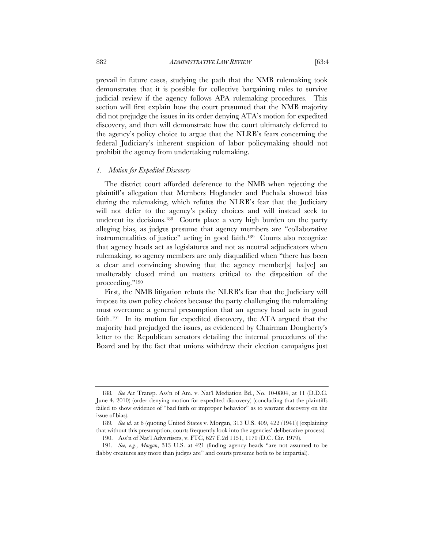882 *ADMINISTRATIVE LAW REVIEW* [63:4

prevail in future cases, studying the path that the NMB rulemaking took demonstrates that it is possible for collective bargaining rules to survive judicial review if the agency follows APA rulemaking procedures. This section will first explain how the court presumed that the NMB majority did not prejudge the issues in its order denying ATA's motion for expedited discovery, and then will demonstrate how the court ultimately deferred to the agency's policy choice to argue that the NLRB's fears concerning the federal Judiciary's inherent suspicion of labor policymaking should not prohibit the agency from undertaking rulemaking.

#### *1. Motion for Expedited Discovery*

The district court afforded deference to the NMB when rejecting the plaintiff's allegation that Members Hoglander and Puchala showed bias during the rulemaking, which refutes the NLRB's fear that the Judiciary will not defer to the agency's policy choices and will instead seek to undercut its decisions.188 Courts place a very high burden on the party alleging bias, as judges presume that agency members are "collaborative instrumentalities of justice" acting in good faith.189 Courts also recognize that agency heads act as legislatures and not as neutral adjudicators when rulemaking, so agency members are only disqualified when "there has been a clear and convincing showing that the agency member[s] ha[ve] an unalterably closed mind on matters critical to the disposition of the proceeding."190

First, the NMB litigation rebuts the NLRB's fear that the Judiciary will impose its own policy choices because the party challenging the rulemaking must overcome a general presumption that an agency head acts in good faith.191 In its motion for expedited discovery, the ATA argued that the majority had prejudged the issues, as evidenced by Chairman Dougherty's letter to the Republican senators detailing the internal procedures of the Board and by the fact that unions withdrew their election campaigns just

<sup>188</sup>*. See* Air Transp. Ass'n of Am. v. Nat'l Mediation Bd., No. 10-0804, at 11 (D.D.C. June 4, 2010) (order denying motion for expedited discovery) (concluding that the plaintiffs failed to show evidence of "bad faith or improper behavior" as to warrant discovery on the issue of bias).

<sup>189</sup>*. See id.* at 6 (quoting United States v. Morgan, 313 U.S. 409, 422 (1941)) (explaining that without this presumption, courts frequently look into the agencies' deliberative process).

<sup>190.</sup> Ass'n of Nat'l Advertisers, v. FTC, 627 F.2d 1151, 1170 (D.C. Cir. 1979).

<sup>191</sup>*. See, e.g.*, *Morgan*, 313 U.S. at 421 (finding agency heads "are not assumed to be flabby creatures any more than judges are" and courts presume both to be impartial).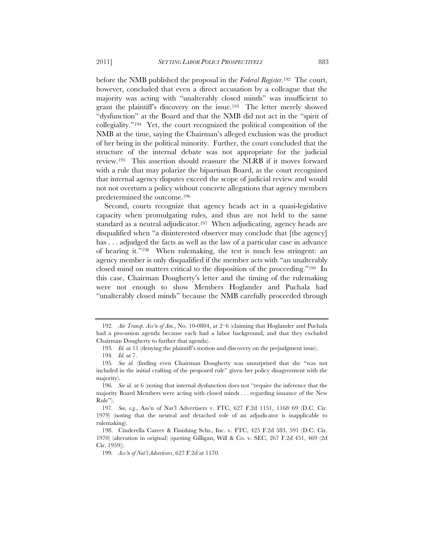before the NMB published the proposal in the *Federal Register*.192 The court, however, concluded that even a direct accusation by a colleague that the majority was acting with "unalterably closed minds" was insufficient to grant the plaintiff's discovery on the issue.193 The letter merely showed "dysfunction" at the Board and that the NMB did not act in the "spirit of collegiality."194 Yet, the court recognized the political composition of the NMB at the time, saying the Chairman's alleged exclusion was the product of her being in the political minority. Further, the court concluded that the structure of the internal debate was not appropriate for the judicial review.195 This assertion should reassure the NLRB if it moves forward with a rule that may polarize the bipartisan Board, as the court recognized that internal agency disputes exceed the scope of judicial review and would not not overturn a policy without concrete allegations that agency members predetermined the outcome.196

Second, courts recognize that agency heads act in a quasi-legislative capacity when promulgating rules, and thus are not held to the same standard as a neutral adjudicator.<sup>197</sup> When adjudicating, agency heads are disqualified when "a disinterested observer may conclude that [the agency] has ... adjudged the facts as well as the law of a particular case in advance of hearing it."198 When rulemaking, the test is much less stringent: an agency member is only disqualified if the member acts with "an unalterably closed mind on matters critical to the disposition of the proceeding."199 In this case, Chairman Dougherty's letter and the timing of the rulemaking were not enough to show Members Hoglander and Puchala had "unalterably closed minds" because the NMB carefully proceeded through

<sup>192</sup>*. Air Transp. Ass'n of Am.*, No. 10-0804, at 2–6 (claiming that Hoglander and Puchala had a pro-union agenda because each had a labor background, and that they excluded Chairman Dougherty to further that agenda).

<sup>193</sup>*. Id.* at 11 (denying the plaintiff's motion and discovery on the prejudgment issue).

<sup>194</sup>*. Id.* at 7.

<sup>195</sup>*. See id.* (finding even Chairman Dougherty was unsurprised that she "was not included in the initial crafting of the proposed rule" given her policy disagreement with the majority).

<sup>196</sup>*. See id.* at 6 (noting that internal dysfunction does not "require the inference that the majority Board Members were acting with closed minds . . . regarding issuance of the New Rule").

<sup>197</sup>*. See, e.g.*, Ass'n of Nat'l Advertisers v. FTC, 627 F.2d 1151, 1168–69 (D.C. Cir. 1979) (noting that the neutral and detached role of an adjudicator is inapplicable to rulemaking).

 <sup>198.</sup> Cinderella Career & Finishing Schs., Inc. v. FTC, 425 F.2d 583, 591 (D.C. Cir. 1970) (alteration in original) (quoting Gilligan, Will & Co. v. SEC, 267 F.2d 451, 469 (2d Cir. 1959)).

<sup>199</sup>*. Ass'n of Nat'l Advertisers*, 627 F.2d at 1170.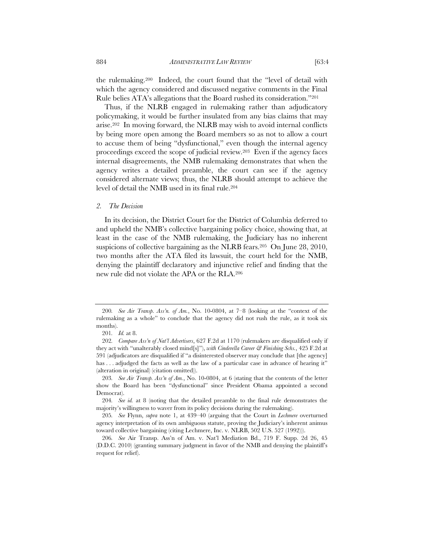the rulemaking.200 Indeed, the court found that the "level of detail with which the agency considered and discussed negative comments in the Final Rule belies ATA's allegations that the Board rushed its consideration."201

Thus, if the NLRB engaged in rulemaking rather than adjudicatory policymaking, it would be further insulated from any bias claims that may arise.202 In moving forward, the NLRB may wish to avoid internal conflicts by being more open among the Board members so as not to allow a court to accuse them of being "dysfunctional," even though the internal agency proceedings exceed the scope of judicial review.203 Even if the agency faces internal disagreements, the NMB rulemaking demonstrates that when the agency writes a detailed preamble, the court can see if the agency considered alternate views; thus, the NLRB should attempt to achieve the level of detail the NMB used in its final rule.204

#### *2. The Decision*

In its decision, the District Court for the District of Columbia deferred to and upheld the NMB's collective bargaining policy choice, showing that, at least in the case of the NMB rulemaking, the Judiciary has no inherent suspicions of collective bargaining as the NLRB fears.205 On June 28, 2010, two months after the ATA filed its lawsuit, the court held for the NMB, denying the plaintiff declaratory and injunctive relief and finding that the new rule did not violate the APA or the RLA.206

<sup>200</sup>*. See Air Transp. Ass'n. of Am.*, No. 10-0804, at 7–8 (looking at the "context of the rulemaking as a whole" to conclude that the agency did not rush the rule, as it took six months).

<sup>201</sup>*. Id.* at 8.

<sup>202</sup>*. Compare Ass'n of Nat'l Advertisers*, 627 F.2d at 1170 (rulemakers are disqualified only if they act with "unalterably closed mind[s]"), *with Cinderella Career & Finishing Schs.*, 425 F.2d at 591 (adjudicators are disqualified if "a disinterested observer may conclude that [the agency] has ... adjudged the facts as well as the law of a particular case in advance of hearing it" (alteration in original) (citation omitted)).

<sup>203</sup>*. See Air Transp. Ass'n of Am.*, No. 10-0804, at 6 (stating that the contents of the letter show the Board has been "dysfunctional" since President Obama appointed a second Democrat).

<sup>204</sup>*. See id.* at 8 (noting that the detailed preamble to the final rule demonstrates the majority's willingness to waver from its policy decisions during the rulemaking).

<sup>205</sup>*. See* Flynn, *supra* note 1, at 439–40 (arguing that the Court in *Lechmere* overturned agency interpretation of its own ambiguous statute, proving the Judiciary's inherent animus toward collective bargaining (citing Lechmere, Inc. v. NLRB, 502 U.S. 527 (1992))).

<sup>206</sup>*. See* Air Transp. Ass'n of Am. v. Nat'l Mediation Bd., 719 F. Supp. 2d 26, 45 (D.D.C. 2010) (granting summary judgment in favor of the NMB and denying the plaintiff's request for relief).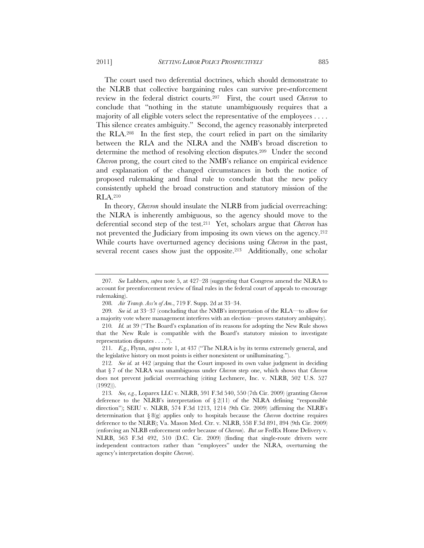The court used two deferential doctrines, which should demonstrate to the NLRB that collective bargaining rules can survive pre-enforcement review in the federal district courts.207 First, the court used *Chevron* to conclude that "nothing in the statute unambiguously requires that a majority of all eligible voters select the representative of the employees . . . . This silence creates ambiguity." Second, the agency reasonably interpreted the RLA.208 In the first step, the court relied in part on the similarity between the RLA and the NLRA and the NMB's broad discretion to determine the method of resolving election disputes.209 Under the second *Chevron* prong, the court cited to the NMB's reliance on empirical evidence and explanation of the changed circumstances in both the notice of proposed rulemaking and final rule to conclude that the new policy consistently upheld the broad construction and statutory mission of the RLA.210

In theory, *Chevron* should insulate the NLRB from judicial overreaching: the NLRA is inherently ambiguous, so the agency should move to the deferential second step of the test.211 Yet, scholars argue that *Chevron* has not prevented the Judiciary from imposing its own views on the agency.<sup>212</sup> While courts have overturned agency decisions using *Chevron* in the past, several recent cases show just the opposite.<sup>213</sup> Additionally, one scholar

<sup>207</sup>*. See* Lubbers, *supra* note 5, at 427–28 (suggesting that Congress amend the NLRA to account for preenforcement review of final rules in the federal court of appeals to encourage rulemaking).

<sup>208</sup>*. Air Transp. Ass'n of Am.*, 719 F. Supp. 2d at 33–34.

<sup>209</sup>*. See id.* at 33–37 (concluding that the NMB's interpretation of the RLA—to allow for a majority vote where management interferes with an election—proves statutory ambiguity).

<sup>210</sup>*. Id.* at 39 ("The Board's explanation of its reasons for adopting the New Rule shows that the New Rule is compatible with the Board's statutory mission to investigate representation disputes . . . .").

<sup>211</sup>*. E.g.*, Flynn, *supra* note 1, at 437 ("The NLRA is by its terms extremely general, and the legislative history on most points is either nonexistent or unilluminating.").

<sup>212</sup>*. See id.* at 442 (arguing that the Court imposed its own value judgment in deciding that § 7 of the NLRA was unambiguous under *Chevron* step one, which shows that *Chevron* does not prevent judicial overreaching (citing Lechmere, Inc. v. NLRB, 502 U.S. 527 (1992))).

<sup>213</sup>*. See, e.g.*, Loparex LLC v. NLRB, 591 F.3d 540, 550 (7th Cir. 2009) (granting *Chevron* deference to the NLRB's interpretation of  $\S 2(11)$  of the NLRA defining "responsible direction"); SEIU v. NLRB, 574 F.3d 1213, 1214 (9th Cir. 2009) (affirming the NLRB's determination that § 8(g) applies only to hospitals because the *Chevron* doctrine requires deference to the NLRB); Va. Mason Med. Ctr. v. NLRB, 558 F.3d 891, 894 (9th Cir. 2009) (enforcing an NLRB enforcement order because of *Chevron*). *But see* FedEx Home Delivery v. NLRB, 563 F.3d 492, 510 (D.C. Cir. 2009) (finding that single-route drivers were independent contractors rather than "employees" under the NLRA, overturning the agency's interpretation despite *Chevron*).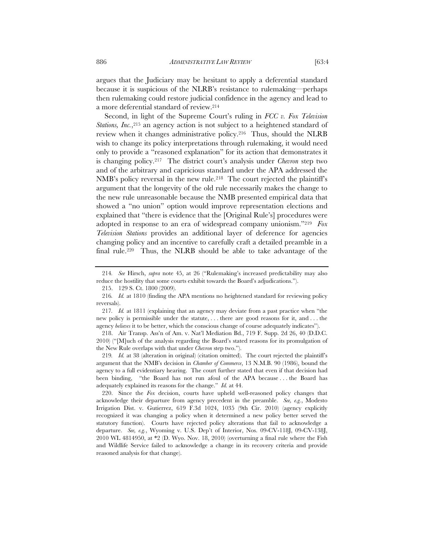argues that the Judiciary may be hesitant to apply a deferential standard because it is suspicious of the NLRB's resistance to rulemaking—perhaps then rulemaking could restore judicial confidence in the agency and lead to a more deferential standard of review.214

Second, in light of the Supreme Court's ruling in *FCC v. Fox Television Stations, Inc.*,215 an agency action is not subject to a heightened standard of review when it changes administrative policy.216 Thus, should the NLRB wish to change its policy interpretations through rulemaking, it would need only to provide a "reasoned explanation" for its action that demonstrates it is changing policy.217 The district court's analysis under *Chevron* step two and of the arbitrary and capricious standard under the APA addressed the NMB's policy reversal in the new rule.218 The court rejected the plaintiff's argument that the longevity of the old rule necessarily makes the change to the new rule unreasonable because the NMB presented empirical data that showed a "no union" option would improve representation elections and explained that "there is evidence that the [Original Rule's] procedures were adopted in response to an era of widespread company unionism."219 *Fox Television Stations* provides an additional layer of deference for agencies changing policy and an incentive to carefully craft a detailed preamble in a final rule.220 Thus, the NLRB should be able to take advantage of the

<sup>214</sup>*. See* Hirsch, *supra* note 45, at 26 ("Rulemaking's increased predictability may also reduce the hostility that some courts exhibit towards the Board's adjudications.").

<sup>215. 129</sup> S. Ct. 1800 (2009).

<sup>216</sup>*. Id.* at 1810 (finding the APA mentions no heightened standard for reviewing policy reversals).

<sup>217</sup>*. Id.* at 1811 (explaining that an agency may deviate from a past practice when "the new policy is permissible under the statute, . . . there are good reasons for it, and . . . the agency *believes* it to be better, which the conscious change of course adequately indicates").

 <sup>218.</sup> Air Transp. Ass'n of Am. v. Nat'l Mediation Bd., 719 F. Supp. 2d 26, 40 (D.D.C. 2010) ("[M]uch of the analysis regarding the Board's stated reasons for its promulgation of the New Rule overlaps with that under *Chevron* step two.").

<sup>219</sup>*. Id.* at 38 (alteration in original) (citation omitted). The court rejected the plaintiff's argument that the NMB's decision in *Chamber of Commerce*, 13 N.M.B. 90 (1986), bound the agency to a full evidentiary hearing. The court further stated that even if that decision had been binding, "the Board has not run afoul of the APA because . . . the Board has adequately explained its reasons for the change." *Id.* at 44.

 <sup>220.</sup> Since the *Fox* decision, courts have upheld well-reasoned policy changes that acknowledge their departure from agency precedent in the preamble. *See, e.g.*, Modesto Irrigation Dist. v. Gutierrez, 619 F.3d 1024, 1035 (9th Cir. 2010) (agency explicitly recognized it was changing a policy when it determined a new policy better served the statutory function). Courts have rejected policy alterations that fail to acknowledge a departure. *See, e.g.*, Wyoming v. U.S. Dep't of Interior, Nos. 09-CV-118J, 09-CV-138J, 2010 WL 4814950, at \*2 (D. Wyo. Nov. 18, 2010) (overturning a final rule where the Fish and Wildlife Service failed to acknowledge a change in its recovery criteria and provide reasoned analysis for that change).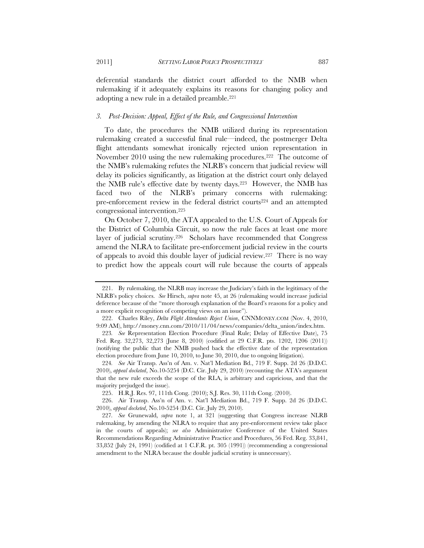deferential standards the district court afforded to the NMB when rulemaking if it adequately explains its reasons for changing policy and adopting a new rule in a detailed preamble.221

#### *3. Post-Decision: Appeal, Effect of the Rule, and Congressional Intervention*

To date, the procedures the NMB utilized during its representation rulemaking created a successful final rule—indeed, the postmerger Delta flight attendants somewhat ironically rejected union representation in November 2010 using the new rulemaking procedures.<sup>222</sup> The outcome of the NMB's rulemaking refutes the NLRB's concern that judicial review will delay its policies significantly, as litigation at the district court only delayed the NMB rule's effective date by twenty days.223 However, the NMB has faced two of the NLRB's primary concerns with rulemaking: pre-enforcement review in the federal district courts<sup>224</sup> and an attempted congressional intervention.225

On October 7, 2010, the ATA appealed to the U.S. Court of Appeals for the District of Columbia Circuit, so now the rule faces at least one more layer of judicial scrutiny.226 Scholars have recommended that Congress amend the NLRA to facilitate pre-enforcement judicial review in the courts of appeals to avoid this double layer of judicial review.227 There is no way to predict how the appeals court will rule because the courts of appeals

 <sup>221.</sup> By rulemaking, the NLRB may increase the Judiciary's faith in the legitimacy of the NLRB's policy choices. *See* Hirsch, *supra* note 45, at 26 (rulemaking would increase judicial deference because of the "more thorough explanation of the Board's reasons for a policy and a more explicit recognition of competing views on an issue").

 <sup>222.</sup> Charles Riley, *Delta Flight Attendants Reject Union*, CNNMONEY.COM (Nov. 4, 2010, 9:09 AM), http://money.cnn.com/2010/11/04/news/companies/delta\_union/index.htm.

<sup>223</sup>*. See* Representation Election Procedure (Final Rule; Delay of Effective Date), 75 Fed. Reg. 32,273, 32,273 (June 8, 2010) (codified at 29 C.F.R. pts. 1202, 1206 (2011)) (notifying the public that the NMB pushed back the effective date of the representation election procedure from June 10, 2010, to June 30, 2010, due to ongoing litigation).

<sup>224</sup>*. See* Air Transp. Ass'n of Am. v. Nat'l Mediation Bd., 719 F. Supp. 2d 26 (D.D.C. 2010), *appeal docketed*, No.10-5254 (D.C. Cir. July 29, 2010) (recounting the ATA's argument that the new rule exceeds the scope of the RLA, is arbitrary and capricious, and that the majority prejudged the issue).

<sup>225.</sup> H.R.J. Res. 97, 111th Cong. (2010); S.J. Res. 30, 111th Cong. (2010).

 <sup>226.</sup> Air Transp. Ass'n of Am. v. Nat'l Mediation Bd., 719 F. Supp. 2d 26 (D.D.C. 2010), *appeal docketed*, No.10-5254 (D.C. Cir. July 29, 2010).

<sup>227</sup>*. See* Grunewald, *supra* note 1, at 321 (suggesting that Congress increase NLRB rulemaking, by amending the NLRA to require that any pre-enforcement review take place in the courts of appeals); *see also* Administrative Conference of the United States Recommendations Regarding Administrative Practice and Procedures, 56 Fed. Reg. 33,841, 33,852 (July 24, 1991) (codified at 1 C.F.R. pt. 305 (1991)) (recommending a congressional amendment to the NLRA because the double judicial scrutiny is unnecessary).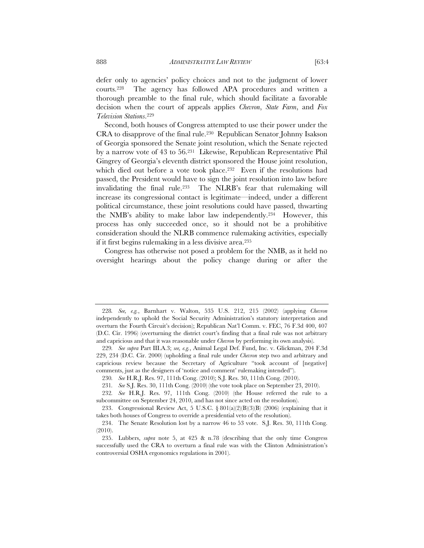defer only to agencies' policy choices and not to the judgment of lower courts.228 The agency has followed APA procedures and written a thorough preamble to the final rule, which should facilitate a favorable decision when the court of appeals applies *Chevron*, *State Farm*, and *Fox Television Stations*.229

Second, both houses of Congress attempted to use their power under the CRA to disapprove of the final rule.230 Republican Senator Johnny Isakson of Georgia sponsored the Senate joint resolution, which the Senate rejected by a narrow vote of 43 to 56.231 Likewise, Republican Representative Phil Gingrey of Georgia's eleventh district sponsored the House joint resolution, which died out before a vote took place.<sup>232</sup> Even if the resolutions had passed, the President would have to sign the joint resolution into law before invalidating the final rule.233 The NLRB's fear that rulemaking will increase its congressional contact is legitimate—indeed, under a different political circumstance, these joint resolutions could have passed, thwarting the NMB's ability to make labor law independently.234 However, this process has only succeeded once, so it should not be a prohibitive consideration should the NLRB commence rulemaking activities, especially if it first begins rulemaking in a less divisive area.235

Congress has otherwise not posed a problem for the NMB, as it held no oversight hearings about the policy change during or after the

<sup>228</sup>*. See, e.g.*, Barnhart v. Walton, 535 U.S. 212, 215 (2002) (applying *Chevron*  independently to uphold the Social Security Administration's statutory interpretation and overturn the Fourth Circuit's decision); Republican Nat'l Comm. v. FEC, 76 F.3d 400, 407 (D.C. Cir. 1996) (overturning the district court's finding that a final rule was not arbitrary and capricious and that it was reasonable under *Chevron* by performing its own analysis).

<sup>229</sup>*. See supra* Part III.A.3; *see, e.g.*, Animal Legal Def. Fund, Inc. v. Glickman, 204 F.3d 229, 234 (D.C. Cir. 2000) (upholding a final rule under *Chevron* step two and arbitrary and capricious review because the Secretary of Agriculture "took account of [negative] comments, just as the designers of 'notice and comment' rulemaking intended").

<sup>230</sup>*. See* H.R.J. Res. 97, 111th Cong. (2010); S.J. Res. 30, 111th Cong. (2010).

<sup>231</sup>*. See* S.J. Res. 30, 111th Cong. (2010) (the vote took place on September 23, 2010).

<sup>232</sup>*. See* H.R.J. Res. 97, 111th Cong. (2010) (the House referred the rule to a subcommittee on September 24, 2010, and has not since acted on the resolution).

<sup>233.</sup> Congressional Review Act, 5 U.S.C. §  $801(a)(2)(B)(3)(B)$  (2006) (explaining that it takes both houses of Congress to override a presidential veto of the resolution).

 <sup>234.</sup> The Senate Resolution lost by a narrow 46 to 53 vote. S.J. Res. 30, 111th Cong. (2010).

 <sup>235.</sup> Lubbers, *supra* note 5, at 425 & n.78 (describing that the only time Congress successfully used the CRA to overturn a final rule was with the Clinton Administration's controversial OSHA ergonomics regulations in 2001).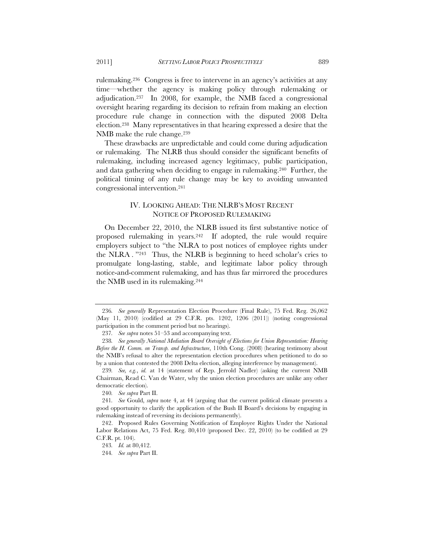rulemaking.236 Congress is free to intervene in an agency's activities at any time—whether the agency is making policy through rulemaking or adjudication.237 In 2008, for example, the NMB faced a congressional oversight hearing regarding its decision to refrain from making an election procedure rule change in connection with the disputed 2008 Delta election.238 Many representatives in that hearing expressed a desire that the NMB make the rule change.<sup>239</sup>

These drawbacks are unpredictable and could come during adjudication or rulemaking. The NLRB thus should consider the significant benefits of rulemaking, including increased agency legitimacy, public participation, and data gathering when deciding to engage in rulemaking.240 Further, the political timing of any rule change may be key to avoiding unwanted congressional intervention.241

#### IV. LOOKING AHEAD: THE NLRB'S MOST RECENT NOTICE OF PROPOSED RULEMAKING

On December 22, 2010, the NLRB issued its first substantive notice of proposed rulemaking in years.242 If adopted, the rule would require employers subject to "the NLRA to post notices of employee rights under the NLRA . "243 Thus, the NLRB is beginning to heed scholar's cries to promulgate long-lasting, stable, and legitimate labor policy through notice-and-comment rulemaking, and has thus far mirrored the procedures the NMB used in its rulemaking.244

<sup>236</sup>*. See generally* Representation Election Procedure (Final Rule), 75 Fed. Reg. 26,062 (May 11, 2010) (codified at 29 C.F.R. pts. 1202, 1206 (2011)) (noting congressional participation in the comment period but no hearings).

<sup>237</sup>*. See supra* notes 51–53 and accompanying text.

<sup>238</sup>*. See generally National Mediation Board Oversight of Elections for Union Representation: Hearing Before the H. Comm. on Transp. and Infrastructure*, 110th Cong. (2008) (hearing testimony about the NMB's refusal to alter the representation election procedures when petitioned to do so by a union that contested the 2008 Delta election, alleging interference by management).

<sup>239</sup>*. See, e.g.*, *id.* at 14 (statement of Rep. Jerrold Nadler) (asking the current NMB Chairman, Read C. Van de Water, why the union election procedures are unlike any other democratic election).

<sup>240</sup>*. See supra* Part II.

<sup>241</sup>*. See* Gould, *supra* note 4, at 44 (arguing that the current political climate presents a good opportunity to clarify the application of the Bush II Board's decisions by engaging in rulemaking instead of reversing its decisions permanently).

<sup>242.</sup> Proposed Rules Governing Notification of Employee Rights Under the National Labor Relations Act, 75 Fed. Reg. 80,410 (proposed Dec. 22, 2010) (to be codified at 29 C.F.R. pt. 104).

<sup>243</sup>*. Id.* at 80,412.

<sup>244</sup>*. See supra* Part II.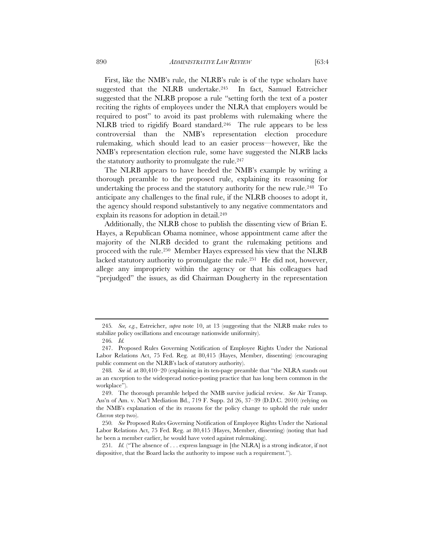First, like the NMB's rule, the NLRB's rule is of the type scholars have suggested that the NLRB undertake.245 In fact, Samuel Estreicher suggested that the NLRB propose a rule "setting forth the text of a poster reciting the rights of employees under the NLRA that employers would be required to post" to avoid its past problems with rulemaking where the NLRB tried to rigidify Board standard.246 The rule appears to be less controversial than the NMB's representation election procedure rulemaking, which should lead to an easier process—however, like the NMB's representation election rule, some have suggested the NLRB lacks the statutory authority to promulgate the rule.<sup>247</sup>

The NLRB appears to have heeded the NMB's example by writing a thorough preamble to the proposed rule, explaining its reasoning for undertaking the process and the statutory authority for the new rule.<sup>248</sup> To anticipate any challenges to the final rule, if the NLRB chooses to adopt it, the agency should respond substantively to any negative commentators and explain its reasons for adoption in detail.<sup>249</sup>

Additionally, the NLRB chose to publish the dissenting view of Brian E. Hayes, a Republican Obama nominee, whose appointment came after the majority of the NLRB decided to grant the rulemaking petitions and proceed with the rule.250 Member Hayes expressed his view that the NLRB lacked statutory authority to promulgate the rule.251 He did not, however, allege any impropriety within the agency or that his colleagues had "prejudged" the issues, as did Chairman Dougherty in the representation

<sup>245</sup>*. See, e.g.*, Estreicher, *supra* note 10, at 13 (suggesting that the NLRB make rules to stabilize policy oscillations and encourage nationwide uniformity).

<sup>246</sup>*. Id.*

 <sup>247.</sup> Proposed Rules Governing Notification of Employee Rights Under the National Labor Relations Act, 75 Fed. Reg. at 80,415 (Hayes, Member, dissenting) (encouraging public comment on the NLRB's lack of statutory authority).

<sup>248</sup>*. See id.* at 80,410–20 (explaining in its ten-page preamble that "the NLRA stands out as an exception to the widespread notice-posting practice that has long been common in the workplace").

 <sup>249.</sup> The thorough preamble helped the NMB survive judicial review. *See* Air Transp. Ass'n of Am. v. Nat'l Mediation Bd., 719 F. Supp. 2d 26, 37–39 (D.D.C. 2010) (relying on the NMB's explanation of the its reasons for the policy change to uphold the rule under *Chevron* step two).

<sup>250</sup>*. See* Proposed Rules Governing Notification of Employee Rights Under the National Labor Relations Act, 75 Fed. Reg. at 80,415 (Hayes, Member, dissenting) (noting that had he been a member earlier, he would have voted against rulemaking).

<sup>251</sup>*. Id.* ("The absence of . . . express language in [the NLRA] is a strong indicator, if not dispositive, that the Board lacks the authority to impose such a requirement.").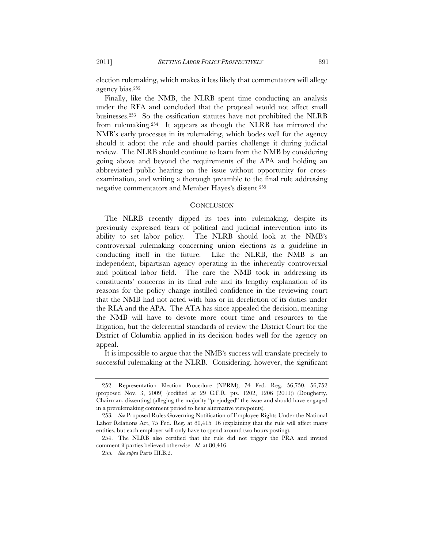election rulemaking, which makes it less likely that commentators will allege agency bias.252

Finally, like the NMB, the NLRB spent time conducting an analysis under the RFA and concluded that the proposal would not affect small businesses.253 So the ossification statutes have not prohibited the NLRB from rulemaking.254 It appears as though the NLRB has mirrored the NMB's early processes in its rulemaking, which bodes well for the agency should it adopt the rule and should parties challenge it during judicial review. The NLRB should continue to learn from the NMB by considering going above and beyond the requirements of the APA and holding an abbreviated public hearing on the issue without opportunity for crossexamination, and writing a thorough preamble to the final rule addressing negative commentators and Member Hayes's dissent.255

#### **CONCLUSION**

The NLRB recently dipped its toes into rulemaking, despite its previously expressed fears of political and judicial intervention into its ability to set labor policy. The NLRB should look at the NMB's controversial rulemaking concerning union elections as a guideline in conducting itself in the future. Like the NLRB, the NMB is an independent, bipartisan agency operating in the inherently controversial and political labor field. The care the NMB took in addressing its constituents' concerns in its final rule and its lengthy explanation of its reasons for the policy change instilled confidence in the reviewing court that the NMB had not acted with bias or in dereliction of its duties under the RLA and the APA. The ATA has since appealed the decision, meaning the NMB will have to devote more court time and resources to the litigation, but the deferential standards of review the District Court for the District of Columbia applied in its decision bodes well for the agency on appeal.

It is impossible to argue that the NMB's success will translate precisely to successful rulemaking at the NLRB. Considering, however, the significant

 <sup>252.</sup> Representation Election Procedure (NPRM), 74 Fed. Reg. 56,750, 56,752 (proposed Nov. 3, 2009) (codified at 29 C.F.R. pts. 1202, 1206 (2011)) (Dougherty, Chairman, dissenting) (alleging the majority "prejudged" the issue and should have engaged in a prerulemaking comment period to hear alternative viewpoints).

<sup>253</sup>*. See* Proposed Rules Governing Notification of Employee Rights Under the National Labor Relations Act, 75 Fed. Reg. at 80,415–16 (explaining that the rule will affect many entities, but each employer will only have to spend around two hours posting).

 <sup>254.</sup> The NLRB also certified that the rule did not trigger the PRA and invited comment if parties believed otherwise. *Id.* at 80,416.

<sup>255</sup>*. See supra* Parts III.B.2.